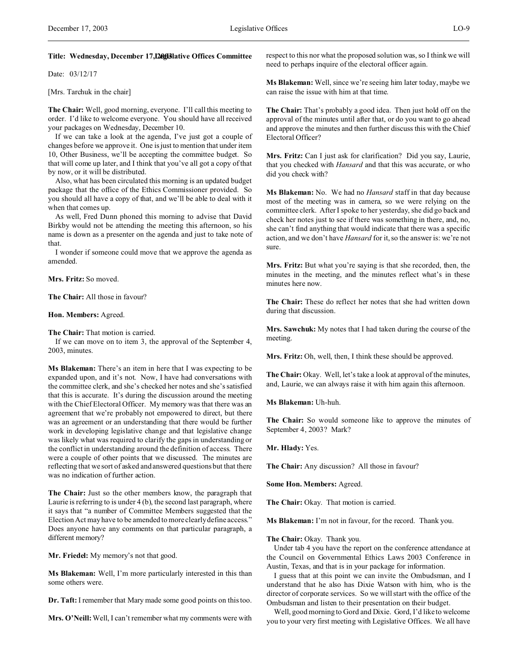# **Title: Wednesday, December 17, 2003 Legislative Offices Committee**

Date: 03/12/17

[Mrs. Tarchuk in the chair]

**The Chair:** Well, good morning, everyone. I'll call this meeting to order. I'd like to welcome everyone. You should have all received your packages on Wednesday, December 10.

If we can take a look at the agenda, I've just got a couple of changes before we approve it. One is just to mention that under item 10, Other Business, we'll be accepting the committee budget. So that will come up later, and I think that you've all got a copy of that by now, or it will be distributed.

Also, what has been circulated this morning is an updated budget package that the office of the Ethics Commissioner provided. So you should all have a copy of that, and we'll be able to deal with it when that comes up.

As well, Fred Dunn phoned this morning to advise that David Birkby would not be attending the meeting this afternoon, so his name is down as a presenter on the agenda and just to take note of that.

I wonder if someone could move that we approve the agenda as amended.

**Mrs. Fritz:** So moved.

**The Chair:** All those in favour?

**Hon. Members:** Agreed.

**The Chair:** That motion is carried.

If we can move on to item 3, the approval of the September 4, 2003, minutes.

**Ms Blakeman:** There's an item in here that I was expecting to be expanded upon, and it's not. Now, I have had conversations with the committee clerk, and she's checked her notes and she's satisfied that this is accurate. It's during the discussion around the meeting with the Chief Electoral Officer. My memory was that there was an agreement that we're probably not empowered to direct, but there was an agreement or an understanding that there would be further work in developing legislative change and that legislative change was likely what was required to clarify the gaps in understanding or the conflict in understanding around the definition of access. There were a couple of other points that we discussed. The minutes are reflecting that we sort of asked and answered questions but that there was no indication of further action.

**The Chair:** Just so the other members know, the paragraph that Laurie is referring to is under 4 (b), the second last paragraph, where it says that "a number of Committee Members suggested that the Election Act may have to be amended to more clearly define access." Does anyone have any comments on that particular paragraph, a different memory?

**Mr. Friedel:** My memory's not that good.

**Ms Blakeman:** Well, I'm more particularly interested in this than some others were.

**Dr. Taft:** I remember that Mary made some good points on this too.

**Mrs. O'Neill:**Well, I can't remember what my comments were with

respect to this nor what the proposed solution was, so I think we will need to perhaps inquire of the electoral officer again.

**Ms Blakeman:** Well, since we're seeing him later today, maybe we can raise the issue with him at that time.

**The Chair:** That's probably a good idea. Then just hold off on the approval of the minutes until after that, or do you want to go ahead and approve the minutes and then further discuss this with the Chief Electoral Officer?

**Mrs. Fritz:** Can I just ask for clarification? Did you say, Laurie, that you checked with *Hansard* and that this was accurate, or who did you check with?

**Ms Blakeman:** No. We had no *Hansard* staff in that day because most of the meeting was in camera, so we were relying on the committee clerk. After I spoke to her yesterday, she did go back and check her notes just to see if there was something in there, and, no, she can't find anything that would indicate that there was a specific action, and we don't have *Hansard* for it, so the answer is: we're not sure.

**Mrs. Fritz:** But what you're saying is that she recorded, then, the minutes in the meeting, and the minutes reflect what's in these minutes here now.

**The Chair:** These do reflect her notes that she had written down during that discussion.

**Mrs. Sawchuk:** My notes that I had taken during the course of the meeting.

**Mrs. Fritz:** Oh, well, then, I think these should be approved.

**The Chair:** Okay. Well, let's take a look at approval of the minutes, and, Laurie, we can always raise it with him again this afternoon.

**Ms Blakeman:** Uh-huh.

**The Chair:** So would someone like to approve the minutes of September 4, 2003? Mark?

**Mr. Hlady:** Yes.

**The Chair:** Any discussion? All those in favour?

**Some Hon. Members:** Agreed.

The Chair: Okay. That motion is carried.

**Ms Blakeman:** I'm not in favour, for the record. Thank you.

**The Chair:** Okay. Thank you.

Under tab 4 you have the report on the conference attendance at the Council on Governmental Ethics Laws 2003 Conference in Austin, Texas, and that is in your package for information.

I guess that at this point we can invite the Ombudsman, and I understand that he also has Dixie Watson with him, who is the director of corporate services. So we will start with the office of the Ombudsman and listen to their presentation on their budget.

Well, good morning to Gord and Dixie. Gord, I'd like to welcome you to your very first meeting with Legislative Offices. We all have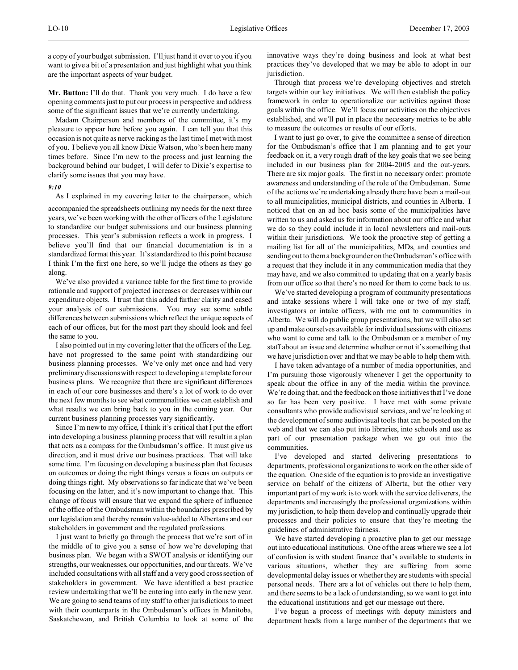a copy of your budget submission. I'll just hand it over to you if you want to give a bit of a presentation and just highlight what you think are the important aspects of your budget.

**Mr. Button:** I'll do that. Thank you very much. I do have a few opening comments just to put our process in perspective and address some of the significant issues that we're currently undertaking.

Madam Chairperson and members of the committee, it's my pleasure to appear here before you again. I can tell you that this occasion is not quite as nerve racking as the last time I met with most of you. I believe you all know Dixie Watson, who's been here many times before. Since I'm new to the process and just learning the background behind our budget, I will defer to Dixie's expertise to clarify some issues that you may have.

#### *9:10*

As I explained in my covering letter to the chairperson, which

accompanied the spreadsheets outlining my needs for the next three years, we've been working with the other officers of the Legislature to standardize our budget submissions and our business planning processes. This year's submission reflects a work in progress. I believe you'll find that our financial documentation is in a standardized format this year. It's standardized to this point because I think I'm the first one here, so we'll judge the others as they go along.

We've also provided a variance table for the first time to provide rationale and support of projected increases or decreases within our expenditure objects. I trust that this added further clarity and eased your analysis of our submissions. You may see some subtle differences between submissions which reflect the unique aspects of each of our offices, but for the most part they should look and feel the same to you.

I also pointed out in my covering letter that the officers of the Leg. have not progressed to the same point with standardizing our business planning processes. We've only met once and had very preliminary discussions with respect to developing a template for our business plans. We recognize that there are significant differences in each of our core businesses and there's a lot of work to do over the next few months to see what commonalities we can establish and what results we can bring back to you in the coming year. Our current business planning processes vary significantly.

Since I'm new to my office, I think it's critical that I put the effort into developing a business planning process that will result in a plan that acts as a compass for the Ombudsman's office. It must give us direction, and it must drive our business practices. That will take some time. I'm focusing on developing a business plan that focuses on outcomes or doing the right things versus a focus on outputs or doing things right. My observations so far indicate that we've been focusing on the latter, and it's now important to change that. This change of focus will ensure that we expand the sphere of influence of the office of the Ombudsman within the boundaries prescribed by our legislation and thereby remain value-added to Albertans and our stakeholders in government and the regulated professions.

I just want to briefly go through the process that we're sort of in the middle of to give you a sense of how we're developing that business plan. We began with a SWOT analysis or identifying our strengths, our weaknesses, our opportunities, and our threats. We've included consultations with all staff and a very good cross section of stakeholders in government. We have identified a best practice review undertaking that we'll be entering into early in the new year. We are going to send teams of my staff to other jurisdictions to meet with their counterparts in the Ombudsman's offices in Manitoba, Saskatchewan, and British Columbia to look at some of the

innovative ways they're doing business and look at what best practices they've developed that we may be able to adopt in our jurisdiction.

Through that process we're developing objectives and stretch targets within our key initiatives. We will then establish the policy framework in order to operationalize our activities against those goals within the office. We'll focus our activities on the objectives established, and we'll put in place the necessary metrics to be able to measure the outcomes or results of our efforts.

I want to just go over, to give the committee a sense of direction for the Ombudsman's office that I am planning and to get your feedback on it, a very rough draft of the key goals that we see being included in our business plan for 2004-2005 and the out-years. There are six major goals. The first in no necessary order: promote awareness and understanding of the role of the Ombudsman. Some of the actions we're undertaking already there have been a mail-out to all municipalities, municipal districts, and counties in Alberta. I noticed that on an ad hoc basis some of the municipalities have written to us and asked us for information about our office and what we do so they could include it in local newsletters and mail-outs within their jurisdictions. We took the proactive step of getting a mailing list for all of the municipalities, MDs, and counties and sending out to them a backgrounder on the Ombudsman's office with a request that they include it in any communication media that they may have, and we also committed to updating that on a yearly basis from our office so that there's no need for them to come back to us.

We've started developing a program of community presentations and intake sessions where I will take one or two of my staff, investigators or intake officers, with me out to communities in Alberta. We will do public group presentations, but we will also set up and make ourselves available for individual sessions with citizens who want to come and talk to the Ombudsman or a member of my staff about an issue and determine whether or not it's something that we have jurisdiction over and that we may be able to help them with.

I have taken advantage of a number of media opportunities, and I'm pursuing those vigorously whenever I get the opportunity to speak about the office in any of the media within the province. We're doing that, and the feedback on those initiatives that I've done so far has been very positive. I have met with some private consultants who provide audiovisual services, and we're looking at the development of some audiovisual tools that can be posted on the web and that we can also put into libraries, into schools and use as part of our presentation package when we go out into the communities.

I've developed and started delivering presentations to departments, professional organizations to work on the other side of the equation. One side of the equation is to provide an investigative service on behalf of the citizens of Alberta, but the other very important part of my work is to work with the service deliverers, the departments and increasingly the professional organizations within my jurisdiction, to help them develop and continually upgrade their processes and their policies to ensure that they're meeting the guidelines of administrative fairness.

We have started developing a proactive plan to get our message out into educational institutions. One of the areas where we see a lot of confusion is with student finance that's available to students in various situations, whether they are suffering from some developmental delay issues or whether they are students with special personal needs. There are a lot of vehicles out there to help them, and there seems to be a lack of understanding, so we want to get into the educational institutions and get our message out there.

I've begun a process of meetings with deputy ministers and department heads from a large number of the departments that we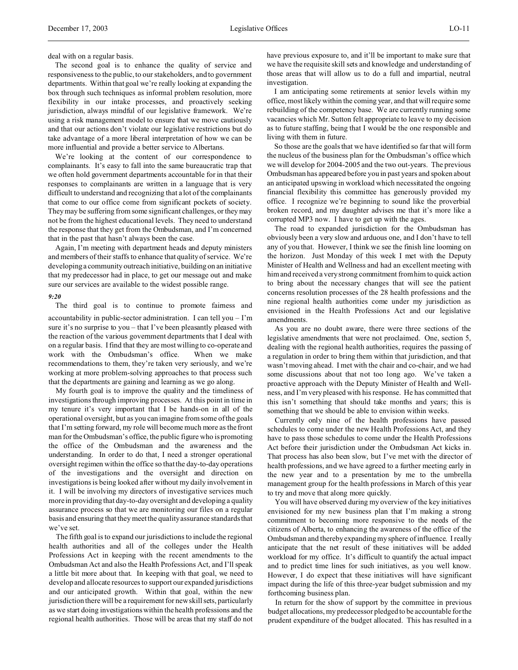deal with on a regular basis.

The second goal is to enhance the quality of service and responsiveness to the public, to our stakeholders, and to government departments. Within that goal we're really looking at expanding the box through such techniques as informal problem resolution, more flexibility in our intake processes, and proactively seeking jurisdiction, always mindful of our legislative framework. We're using a risk management model to ensure that we move cautiously and that our actions don't violate our legislative restrictions but do take advantage of a more liberal interpretation of how we can be more influential and provide a better service to Albertans.

We're looking at the content of our correspondence to complainants. It's easy to fall into the same bureaucratic trap that we often hold government departments accountable for in that their responses to complainants are written in a language that is very difficult to understand and recognizing that a lot of the complainants that come to our office come from significant pockets of society. They may be suffering from some significant challenges, or they may not be from the highest educational levels. They need to understand the response that they get from the Ombudsman, and I'm concerned that in the past that hasn't always been the case.

Again, I'm meeting with department heads and deputy ministers and members of their staffs to enhance that quality of service. We're developing a community outreach initiative, building on an initiative that my predecessor had in place, to get our message out and make sure our services are available to the widest possible range.

#### *9:20*

The third goal is to continue to promote fairness and accountability in public-sector administration. I can tell you  $-1$ 'm sure it's no surprise to you – that I've been pleasantly pleased with the reaction of the various government departments that I deal with on a regular basis. I find that they are most willing to co-operate and work with the Ombudsman's office. When we make recommendations to them, they're taken very seriously, and we're working at more problem-solving approaches to that process such that the departments are gaining and learning as we go along.

My fourth goal is to improve the quality and the timeliness of investigations through improving processes. At this point in time in my tenure it's very important that I be hands-on in all of the operational oversight, but as you can imagine from some of the goals that I'm setting forward, my role will become much more as the front man for the Ombudsman's office, the public figure who is promoting the office of the Ombudsman and the awareness and the understanding. In order to do that, I need a stronger operational oversight regimen within the office so that the day-to-day operations of the investigations and the oversight and direction on investigations is being looked after without my daily involvement in it. I will be involving my directors of investigative services much more in providing that day-to-day oversight and developing a quality assurance process so that we are monitoring our files on a regular basis and ensuring that they meet the quality assurance standards that we've set.

The fifth goal is to expand our jurisdictions to include the regional health authorities and all of the colleges under the Health Professions Act in keeping with the recent amendments to the Ombudsman Act and also the Health Professions Act, and I'll speak a little bit more about that. In keeping with that goal, we need to develop and allocate resources to support our expanded jurisdictions and our anticipated growth. Within that goal, within the new jurisdiction there will be a requirement for new skill sets, particularly as we start doing investigations within the health professions and the regional health authorities. Those will be areas that my staff do not have previous exposure to, and it'll be important to make sure that we have the requisite skill sets and knowledge and understanding of those areas that will allow us to do a full and impartial, neutral investigation.

I am anticipating some retirements at senior levels within my office, most likely within the coming year, and that will require some rebuilding of the competency base. We are currently running some vacancies which Mr. Sutton felt appropriate to leave to my decision as to future staffing, being that I would be the one responsible and living with them in future.

So those are the goals that we have identified so far that will form the nucleus of the business plan for the Ombudsman's office which we will develop for 2004-2005 and the two out-years. The previous Ombudsman has appeared before you in past years and spoken about an anticipated upswing in workload which necessitated the ongoing financial flexibility this committee has generously provided my office. I recognize we're beginning to sound like the proverbial broken record, and my daughter advises me that it's more like a corrupted MP3 now. I have to get up with the ages.

The road to expanded jurisdiction for the Ombudsman has obviously been a very slow and arduous one, and I don't have to tell any of you that. However, I think we see the finish line looming on the horizon. Just Monday of this week I met with the Deputy Minister of Health and Wellness and had an excellent meeting with him and received a very strong commitment from him to quick action to bring about the necessary changes that will see the patient concerns resolution processes of the 28 health professions and the nine regional health authorities come under my jurisdiction as envisioned in the Health Professions Act and our legislative amendments.

As you are no doubt aware, there were three sections of the legislative amendments that were not proclaimed. One, section 5, dealing with the regional health authorities, requires the passing of a regulation in order to bring them within that jurisdiction, and that wasn't moving ahead. I met with the chair and co-chair, and we had some discussions about that not too long ago. We've taken a proactive approach with the Deputy Minister of Health and Wellness, and I'm very pleased with his response. He has committed that this isn't something that should take months and years; this is something that we should be able to envision within weeks.

Currently only nine of the health professions have passed schedules to come under the new Health Professions Act, and they have to pass those schedules to come under the Health Professions Act before their jurisdiction under the Ombudsman Act kicks in. That process has also been slow, but I've met with the director of health professions, and we have agreed to a further meeting early in the new year and to a presentation by me to the umbrella management group for the health professions in March of this year to try and move that along more quickly.

You will have observed during my overview of the key initiatives envisioned for my new business plan that I'm making a strong commitment to becoming more responsive to the needs of the citizens of Alberta, to enhancing the awareness of the office of the Ombudsman and thereby expanding my sphere of influence. I really anticipate that the net result of these initiatives will be added workload for my office. It's difficult to quantify the actual impact and to predict time lines for such initiatives, as you well know. However, I do expect that these initiatives will have significant impact during the life of this three-year budget submission and my forthcoming business plan.

In return for the show of support by the committee in previous budget allocations, my predecessor pledged to be accountable for the prudent expenditure of the budget allocated. This has resulted in a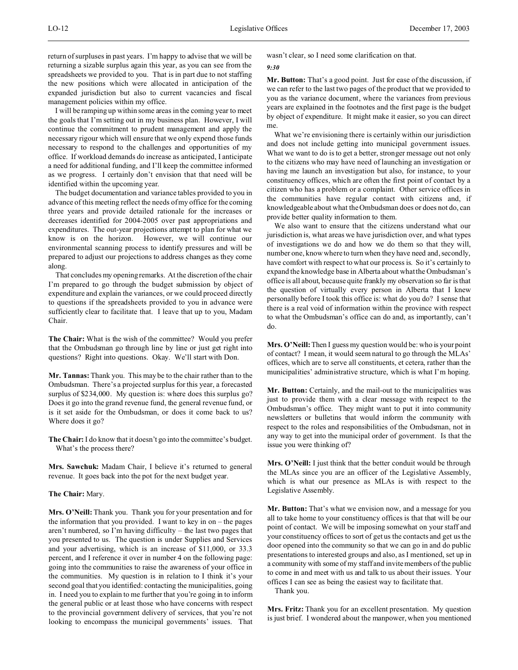return of surpluses in past years. I'm happy to advise that we will be returning a sizable surplus again this year, as you can see from the spreadsheets we provided to you. That is in part due to not staffing the new positions which were allocated in anticipation of the expanded jurisdiction but also to current vacancies and fiscal management policies within my office.

I will be ramping up within some areas in the coming year to meet the goals that I'm setting out in my business plan. However, I will continue the commitment to prudent management and apply the necessary rigour which will ensure that we only expend those funds necessary to respond to the challenges and opportunities of my office. If workload demands do increase as anticipated, I anticipate a need for additional funding, and I'll keep the committee informed as we progress. I certainly don't envision that that need will be identified within the upcoming year.

The budget documentation and variance tables provided to you in advance of this meeting reflect the needs of my office for the coming three years and provide detailed rationale for the increases or decreases identified for 2004-2005 over past appropriations and expenditures. The out-year projections attempt to plan for what we know is on the horizon. However, we will continue our environmental scanning process to identify pressures and will be prepared to adjust our projections to address changes as they come along.

That concludes my opening remarks. At the discretion of the chair I'm prepared to go through the budget submission by object of expenditure and explain the variances, or we could proceed directly to questions if the spreadsheets provided to you in advance were sufficiently clear to facilitate that. I leave that up to you, Madam Chair.

**The Chair:** What is the wish of the committee? Would you prefer that the Ombudsman go through line by line or just get right into questions? Right into questions. Okay. We'll start with Don.

**Mr. Tannas:** Thank you. This may be to the chair rather than to the Ombudsman. There's a projected surplus for this year, a forecasted surplus of \$234,000. My question is: where does this surplus go? Does it go into the grand revenue fund, the general revenue fund, or is it set aside for the Ombudsman, or does it come back to us? Where does it go?

**The Chair:** I do know that it doesn't go into the committee's budget. What's the process there?

**Mrs. Sawchuk:** Madam Chair, I believe it's returned to general revenue. It goes back into the pot for the next budget year.

## **The Chair:** Mary.

**Mrs. O'Neill:** Thank you. Thank you for your presentation and for the information that you provided. I want to key in on – the pages aren't numbered, so I'm having difficulty – the last two pages that you presented to us. The question is under Supplies and Services and your advertising, which is an increase of \$11,000, or 33.3 percent, and I reference it over in number 4 on the following page: going into the communities to raise the awareness of your office in the communities. My question is in relation to I think it's your second goal that you identified: contacting the municipalities, going in. I need you to explain to me further that you're going in to inform the general public or at least those who have concerns with respect to the provincial government delivery of services, that you're not looking to encompass the municipal governments' issues. That wasn't clear, so I need some clarification on that.

#### *9:30*

**Mr. Button:** That's a good point. Just for ease of the discussion, if we can refer to the last two pages of the product that we provided to you as the variance document, where the variances from previous years are explained in the footnotes and the first page is the budget by object of expenditure. It might make it easier, so you can direct me.

What we're envisioning there is certainly within our jurisdiction and does not include getting into municipal government issues. What we want to do is to get a better, stronger message out not only to the citizens who may have need of launching an investigation or having me launch an investigation but also, for instance, to your constituency offices, which are often the first point of contact by a citizen who has a problem or a complaint. Other service offices in the communities have regular contact with citizens and, if knowledgeable about what the Ombudsman does or does not do, can provide better quality information to them.

We also want to ensure that the citizens understand what our jurisdiction is, what areas we have jurisdiction over, and what types of investigations we do and how we do them so that they will, number one, know where to turn when they have need and, secondly, have comfort with respect to what our process is. So it's certainly to expand the knowledge base in Alberta about what the Ombudsman's office is all about, because quite frankly my observation so far is that the question of virtually every person in Alberta that I knew personally before I took this office is: what do you do? I sense that there is a real void of information within the province with respect to what the Ombudsman's office can do and, as importantly, can't do.

**Mrs. O'Neill:**Then I guess my question would be: who is your point of contact? I mean, it would seem natural to go through the MLAs' offices, which are to serve all constituents, et cetera, rather than the municipalities' administrative structure, which is what I'm hoping.

**Mr. Button:** Certainly, and the mail-out to the municipalities was just to provide them with a clear message with respect to the Ombudsman's office. They might want to put it into community newsletters or bulletins that would inform the community with respect to the roles and responsibilities of the Ombudsman, not in any way to get into the municipal order of government. Is that the issue you were thinking of?

**Mrs. O'Neill:** I just think that the better conduit would be through the MLAs since you are an officer of the Legislative Assembly, which is what our presence as MLAs is with respect to the Legislative Assembly.

**Mr. Button:** That's what we envision now, and a message for you all to take home to your constituency offices is that that will be our point of contact. We will be imposing somewhat on your staff and your constituency offices to sort of get us the contacts and get us the door opened into the community so that we can go in and do public presentations to interested groups and also, as I mentioned, set up in a community with some of my staff and invite members of the public to come in and meet with us and talk to us about their issues. Your offices I can see as being the easiest way to facilitate that.

Thank you.

**Mrs. Fritz:** Thank you for an excellent presentation. My question is just brief. I wondered about the manpower, when you mentioned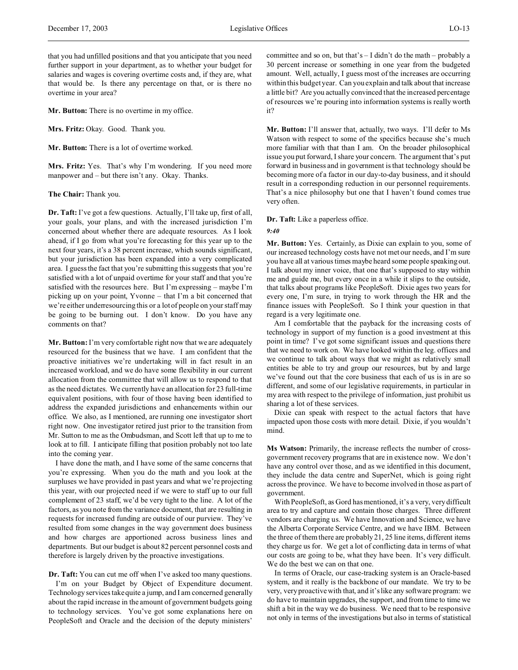that you had unfilled positions and that you anticipate that you need further support in your department, as to whether your budget for salaries and wages is covering overtime costs and, if they are, what that would be. Is there any percentage on that, or is there no overtime in your area?

**Mr. Button:** There is no overtime in my office.

**Mrs. Fritz:** Okay. Good. Thank you.

**Mr. Button:** There is a lot of overtime worked.

**Mrs. Fritz:** Yes. That's why I'm wondering. If you need more manpower and – but there isn't any. Okay. Thanks.

# **The Chair:** Thank you.

**Dr. Taft:** I've got a few questions. Actually, I'll take up, first of all, your goals, your plans, and with the increased jurisdiction I'm concerned about whether there are adequate resources. As I look ahead, if I go from what you're forecasting for this year up to the next four years, it's a 38 percent increase, which sounds significant, but your jurisdiction has been expanded into a very complicated area. I guess the fact that you're submitting this suggests that you're satisfied with a lot of unpaid overtime for your staff and that you're satisfied with the resources here. But I'm expressing – maybe I'm picking up on your point, Yvonne – that I'm a bit concerned that we're either underresourcing this or a lot of people on your staff may be going to be burning out. I don't know. Do you have any comments on that?

**Mr. Button:**I'm very comfortable right now that we are adequately resourced for the business that we have. I am confident that the proactive initiatives we're undertaking will in fact result in an increased workload, and we do have some flexibility in our current allocation from the committee that will allow us to respond to that as the need dictates. We currently have an allocation for 23 full-time equivalent positions, with four of those having been identified to address the expanded jurisdictions and enhancements within our office. We also, as I mentioned, are running one investigator short right now. One investigator retired just prior to the transition from Mr. Sutton to me as the Ombudsman, and Scott left that up to me to look at to fill. I anticipate filling that position probably not too late into the coming year.

I have done the math, and I have some of the same concerns that you're expressing. When you do the math and you look at the surpluses we have provided in past years and what we're projecting this year, with our projected need if we were to staff up to our full complement of 23 staff, we'd be very tight to the line. A lot of the factors, as you note from the variance document, that are resulting in requests for increased funding are outside of our purview. They've resulted from some changes in the way government does business and how charges are apportioned across business lines and departments. But our budget is about 82 percent personnel costs and therefore is largely driven by the proactive investigations.

**Dr. Taft:** You can cut me off when I've asked too many questions. I'm on your Budget by Object of Expenditure document. Technology services take quite a jump, and I am concerned generally about the rapid increase in the amount of government budgets going to technology services. You've got some explanations here on PeopleSoft and Oracle and the decision of the deputy ministers'

committee and so on, but that's – I didn't do the math – probably a 30 percent increase or something in one year from the budgeted amount. Well, actually, I guess most of the increases are occurring within this budget year. Can you explain and talk about that increase a little bit? Are you actually convinced that the increased percentage of resources we're pouring into information systems is really worth it?

**Mr. Button:** I'll answer that, actually, two ways. I'll defer to Ms Watson with respect to some of the specifics because she's much more familiar with that than I am. On the broader philosophical issue you put forward, I share your concern. The argument that's put forward in business and in government is that technology should be becoming more of a factor in our day-to-day business, and it should result in a corresponding reduction in our personnel requirements. That's a nice philosophy but one that I haven't found comes true very often.

### **Dr. Taft:** Like a paperless office.

#### *9:40*

**Mr. Button:** Yes. Certainly, as Dixie can explain to you, some of our increased technology costs have not met our needs, and I'm sure you have all at various times maybe heard some people speaking out. I talk about my inner voice, that one that's supposed to stay within me and guide me, but every once in a while it slips to the outside, that talks about programs like PeopleSoft. Dixie ages two years for every one, I'm sure, in trying to work through the HR and the finance issues with PeopleSoft. So I think your question in that regard is a very legitimate one.

Am I comfortable that the payback for the increasing costs of technology in support of my function is a good investment at this point in time? I've got some significant issues and questions there that we need to work on. We have looked within the leg. offices and we continue to talk about ways that we might as relatively small entities be able to try and group our resources, but by and large we've found out that the core business that each of us is in are so different, and some of our legislative requirements, in particular in my area with respect to the privilege of information, just prohibit us sharing a lot of these services.

Dixie can speak with respect to the actual factors that have impacted upon those costs with more detail. Dixie, if you wouldn't mind.

**Ms Watson:** Primarily, the increase reflects the number of crossgovernment recovery programs that are in existence now. We don't have any control over those, and as we identified in this document, they include the data centre and SuperNet, which is going right across the province. We have to become involved in those as part of government.

With PeopleSoft, as Gord has mentioned, it's a very, very difficult area to try and capture and contain those charges. Three different vendors are charging us. We have Innovation and Science, we have the Alberta Corporate Service Centre, and we have IBM. Between the three of them there are probably 21, 25 line items, different items they charge us for. We get a lot of conflicting data in terms of what our costs are going to be, what they have been. It's very difficult. We do the best we can on that one.

In terms of Oracle, our case-tracking system is an Oracle-based system, and it really is the backbone of our mandate. We try to be very, very proactive with that, and it's like any software program: we do have to maintain upgrades, the support, and from time to time we shift a bit in the way we do business. We need that to be responsive not only in terms of the investigations but also in terms of statistical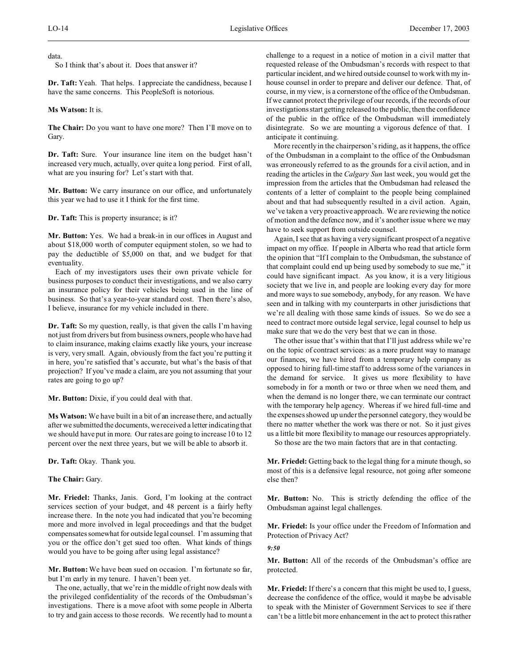data.

So I think that's about it. Does that answer it?

**Dr. Taft:** Yeah. That helps. I appreciate the candidness, because I have the same concerns. This PeopleSoft is notorious.

## **Ms Watson:** It is.

**The Chair:** Do you want to have one more? Then I'll move on to Gary.

**Dr. Taft:** Sure. Your insurance line item on the budget hasn't increased very much, actually, over quite a long period. First of all, what are you insuring for? Let's start with that.

**Mr. Button:** We carry insurance on our office, and unfortunately this year we had to use it I think for the first time.

**Dr. Taft:** This is property insurance; is it?

**Mr. Button:** Yes. We had a break-in in our offices in August and about \$18,000 worth of computer equipment stolen, so we had to pay the deductible of \$5,000 on that, and we budget for that eventuality.

Each of my investigators uses their own private vehicle for business purposes to conduct their investigations, and we also carry an insurance policy for their vehicles being used in the line of business. So that's a year-to-year standard cost. Then there's also, I believe, insurance for my vehicle included in there.

**Dr. Taft:** So my question, really, is that given the calls I'm having not just from drivers but from business owners, people who have had to claim insurance, making claims exactly like yours, your increase is very, very small. Again, obviously from the fact you're putting it in here, you're satisfied that's accurate, but what's the basis of that projection? If you've made a claim, are you not assuming that your rates are going to go up?

## **Mr. Button:** Dixie, if you could deal with that.

**Ms Watson:** We have built in a bit of an increase there, and actually after we submitted the documents, we received a letter indicating that we should have put in more. Our rates are going to increase 10 to 12 percent over the next three years, but we will be able to absorb it.

**Dr. Taft:** Okay. Thank you.

## **The Chair:** Gary.

**Mr. Friedel:** Thanks, Janis. Gord, I'm looking at the contract services section of your budget, and 48 percent is a fairly hefty increase there. In the note you had indicated that you're becoming more and more involved in legal proceedings and that the budget compensates somewhat for outside legal counsel. I'm assuming that you or the office don't get sued too often. What kinds of things would you have to be going after using legal assistance?

**Mr. Button:** We have been sued on occasion. I'm fortunate so far, but I'm early in my tenure. I haven't been yet.

The one, actually, that we're in the middle of right now deals with the privileged confidentiality of the records of the Ombudsman's investigations. There is a move afoot with some people in Alberta to try and gain access to those records. We recently had to mount a challenge to a request in a notice of motion in a civil matter that requested release of the Ombudsman's records with respect to that particular incident, and we hired outside counsel to work with my inhouse counsel in order to prepare and deliver our defence. That, of course, in my view, is a cornerstone of the office of the Ombudsman. If we cannot protect the privilege of our records, if the records of our investigations start getting released to the public, then the confidence of the public in the office of the Ombudsman will immediately disintegrate. So we are mounting a vigorous defence of that. I anticipate it continuing.

More recently in the chairperson's riding, as it happens, the office of the Ombudsman in a complaint to the office of the Ombudsman was erroneously referred to as the grounds for a civil action, and in reading the articles in the *Calgary Sun* last week, you would get the impression from the articles that the Ombudsman had released the contents of a letter of complaint to the people being complained about and that had subsequently resulted in a civil action. Again, we've taken a very proactive approach. We are reviewing the notice of motion and the defence now, and it's another issue where we may have to seek support from outside counsel.

Again, I see that as having a very significant prospect of a negative impact on my office. If people in Alberta who read that article form the opinion that "If I complain to the Ombudsman, the substance of that complaint could end up being used by somebody to sue me," it could have significant impact. As you know, it is a very litigious society that we live in, and people are looking every day for more and more ways to sue somebody, anybody, for any reason. We have seen and in talking with my counterparts in other jurisdictions that we're all dealing with those same kinds of issues. So we do see a need to contract more outside legal service, legal counsel to help us make sure that we do the very best that we can in those.

The other issue that's within that that I'll just address while we're on the topic of contract services: as a more prudent way to manage our finances, we have hired from a temporary help company as opposed to hiring full-time staff to address some of the variances in the demand for service. It gives us more flexibility to have somebody in for a month or two or three when we need them, and when the demand is no longer there, we can terminate our contract with the temporary help agency. Whereas if we hired full-time and the expenses showed up under the personnel category, they would be there no matter whether the work was there or not. So it just gives us a little bit more flexibility to manage our resources appropriately.

So those are the two main factors that are in that contacting.

**Mr. Friedel:** Getting back to the legal thing for a minute though, so most of this is a defensive legal resource, not going after someone else then?

**Mr. Button:** No. This is strictly defending the office of the Ombudsman against legal challenges.

**Mr. Friedel:** Is your office under the Freedom of Information and Protection of Privacy Act?

*9:50*

**Mr. Button:** All of the records of the Ombudsman's office are protected.

**Mr. Friedel:** If there's a concern that this might be used to, I guess, decrease the confidence of the office, would it maybe be advisable to speak with the Minister of Government Services to see if there can't be a little bit more enhancement in the act to protect this rather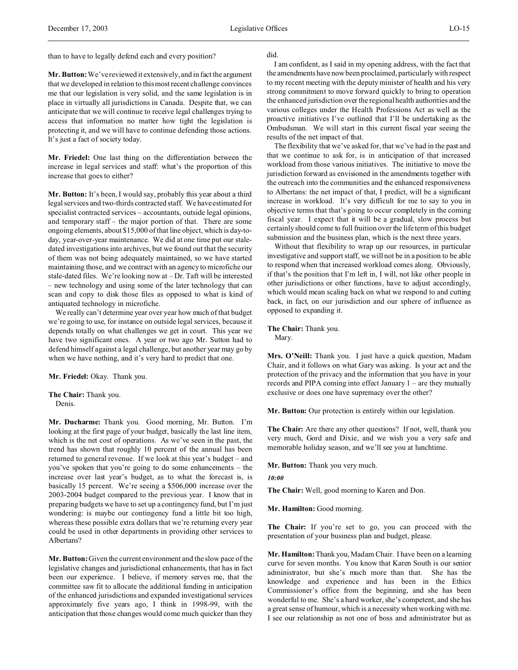than to have to legally defend each and every position?

**Mr. Button:**We've reviewed it extensively, and in fact the argument that we developed in relation to this most recent challenge convinces me that our legislation is very solid, and the same legislation is in place in virtually all jurisdictions in Canada. Despite that, we can anticipate that we will continue to receive legal challenges trying to access that information no matter how tight the legislation is protecting it, and we will have to continue defending those actions. It's just a fact of society today.

**Mr. Friedel:** One last thing on the differentiation between the increase in legal services and staff: what's the proportion of this increase that goes to either?

**Mr. Button:** It's been, I would say, probably this year about a third legal services and two-thirds contracted staff. We have estimated for specialist contracted services – accountants, outside legal opinions, and temporary staff – the major portion of that. There are some ongoing elements, about \$15,000 of that line object, which is day-today, year-over-year maintenance. We did at one time put our staledated investigations into archives, but we found out that the security of them was not being adequately maintained, so we have started maintaining those, and we contract with an agency to microfiche our stale-dated files. We're looking now at – Dr. Taft will be interested – new technology and using some of the later technology that can scan and copy to disk those files as opposed to what is kind of antiquated technology in microfiche.

We really can't determine year over year how much of that budget we're going to use, for instance on outside legal services, because it depends totally on what challenges we get in court. This year we have two significant ones. A year or two ago Mr. Sutton had to defend himself against a legal challenge, but another year may go by when we have nothing, and it's very hard to predict that one.

**Mr. Friedel:** Okay. Thank you.

**The Chair:** Thank you. Denis.

**Mr. Ducharme:** Thank you. Good morning, Mr. Button. I'm looking at the first page of your budget, basically the last line item, which is the net cost of operations. As we've seen in the past, the trend has shown that roughly 10 percent of the annual has been returned to general revenue. If we look at this year's budget – and you've spoken that you're going to do some enhancements – the increase over last year's budget, as to what the forecast is, is basically 15 percent. We're seeing a \$506,000 increase over the 2003-2004 budget compared to the previous year. I know that in preparing budgets we have to set up a contingency fund, but I'm just wondering: is maybe our contingency fund a little bit too high, whereas these possible extra dollars that we're returning every year could be used in other departments in providing other services to Albertans?

**Mr. Button:**Given the current environment and the slow pace of the legislative changes and jurisdictional enhancements, that has in fact been our experience. I believe, if memory serves me, that the committee saw fit to allocate the additional funding in anticipation of the enhanced jurisdictions and expanded investigational services approximately five years ago, I think in 1998-99, with the anticipation that those changes would come much quicker than they

#### did.

I am confident, as I said in my opening address, with the fact that the amendments have now been proclaimed, particularly with respect to my recent meeting with the deputy minister of health and his very strong commitment to move forward quickly to bring to operation the enhanced jurisdiction over the regional health authorities and the various colleges under the Health Professions Act as well as the proactive initiatives I've outlined that I'll be undertaking as the Ombudsman. We will start in this current fiscal year seeing the results of the net impact of that.

The flexibility that we've asked for, that we've had in the past and that we continue to ask for, is in anticipation of that increased workload from those various initiatives. The initiative to move the jurisdiction forward as envisioned in the amendments together with the outreach into the communities and the enhanced responsiveness to Albertans: the net impact of that, I predict, will be a significant increase in workload. It's very difficult for me to say to you in objective terms that that's going to occur completely in the coming fiscal year. I expect that it will be a gradual, slow process but certainly should come to full fruition over the life term of this budget submission and the business plan, which is the next three years.

Without that flexibility to wrap up our resources, in particular investigative and support staff, we will not be in a position to be able to respond when that increased workload comes along. Obviously, if that's the position that I'm left in, I will, not like other people in other jurisdictions or other functions, have to adjust accordingly, which would mean scaling back on what we respond to and cutting back, in fact, on our jurisdiction and our sphere of influence as opposed to expanding it.

**The Chair:** Thank you. Mary.

**Mrs. O'Neill:** Thank you. I just have a quick question, Madam Chair, and it follows on what Gary was asking. Is your act and the protection of the privacy and the information that you have in your records and PIPA coming into effect January 1 – are they mutually exclusive or does one have supremacy over the other?

**Mr. Button:** Our protection is entirely within our legislation.

**The Chair:** Are there any other questions? If not, well, thank you very much, Gord and Dixie, and we wish you a very safe and memorable holiday season, and we'll see you at lunchtime.

**Mr. Button:** Thank you very much.

*10:00*

**The Chair:** Well, good morning to Karen and Don.

**Mr. Hamilton:** Good morning.

**The Chair:** If you're set to go, you can proceed with the presentation of your business plan and budget, please.

**Mr. Hamilton:** Thank you, Madam Chair. I have been on a learning curve for seven months. You know that Karen South is our senior administrator, but she's much more than that. She has the knowledge and experience and has been in the Ethics Commissioner's office from the beginning, and she has been wonderful to me. She's a hard worker, she's competent, and she has a great sense of humour, which is a necessity when working with me. I see our relationship as not one of boss and administrator but as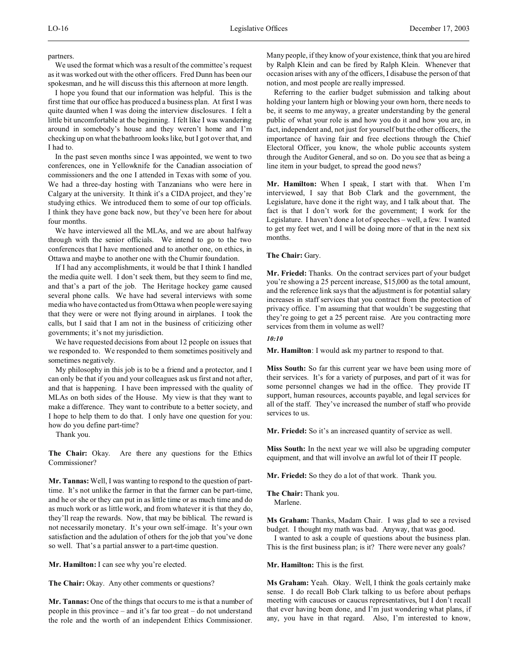partners.

We used the format which was a result of the committee's request as it was worked out with the other officers. Fred Dunn has been our spokesman, and he will discuss this this afternoon at more length.

I hope you found that our information was helpful. This is the first time that our office has produced a business plan. At first I was quite daunted when I was doing the interview disclosures. I felt a little bit uncomfortable at the beginning. I felt like I was wandering around in somebody's house and they weren't home and I'm checking up on what the bathroom looks like, but I got over that, and I had to.

In the past seven months since I was appointed, we went to two conferences, one in Yellowknife for the Canadian association of commissioners and the one I attended in Texas with some of you. We had a three-day hosting with Tanzanians who were here in Calgary at the university. It think it's a CIDA project, and they're studying ethics. We introduced them to some of our top officials. I think they have gone back now, but they've been here for about four months.

We have interviewed all the MLAs, and we are about halfway through with the senior officials. We intend to go to the two conferences that I have mentioned and to another one, on ethics, in Ottawa and maybe to another one with the Chumir foundation.

If I had any accomplishments, it would be that I think I handled the media quite well. I don't seek them, but they seem to find me, and that's a part of the job. The Heritage hockey game caused several phone calls. We have had several interviews with some media who have contacted us from Ottawa when people were saying that they were or were not flying around in airplanes. I took the calls, but I said that I am not in the business of criticizing other governments; it's not my jurisdiction.

We have requested decisions from about 12 people on issues that we responded to. We responded to them sometimes positively and sometimes negatively.

My philosophy in this job is to be a friend and a protector, and I can only be that if you and your colleagues ask us first and not after, and that is happening. I have been impressed with the quality of MLAs on both sides of the House. My view is that they want to make a difference. They want to contribute to a better society, and I hope to help them to do that. I only have one question for you: how do you define part-time?

Thank you.

**The Chair:** Okay. Are there any questions for the Ethics Commissioner?

**Mr. Tannas:** Well, I was wanting to respond to the question of parttime. It's not unlike the farmer in that the farmer can be part-time, and he or she or they can put in as little time or as much time and do as much work or as little work, and from whatever it is that they do, they'll reap the rewards. Now, that may be biblical. The reward is not necessarily monetary. It's your own self-image. It's your own satisfaction and the adulation of others for the job that you've done so well. That's a partial answer to a part-time question.

**Mr. Hamilton:** I can see why you're elected.

The Chair: Okay. Any other comments or questions?

**Mr. Tannas:** One of the things that occurs to me is that a number of people in this province – and it's far too great – do not understand the role and the worth of an independent Ethics Commissioner.

Many people, if they know of your existence, think that you are hired by Ralph Klein and can be fired by Ralph Klein. Whenever that occasion arises with any of the officers, I disabuse the person of that notion, and most people are really impressed.

Referring to the earlier budget submission and talking about holding your lantern high or blowing your own horn, there needs to be, it seems to me anyway, a greater understanding by the general public of what your role is and how you do it and how you are, in fact, independent and, not just for yourself but the other officers, the importance of having fair and free elections through the Chief Electoral Officer, you know, the whole public accounts system through the Auditor General, and so on. Do you see that as being a line item in your budget, to spread the good news?

**Mr. Hamilton:** When I speak, I start with that. When I'm interviewed, I say that Bob Clark and the government, the Legislature, have done it the right way, and I talk about that. The fact is that I don't work for the government; I work for the Legislature. I haven't done a lot of speeches – well, a few. I wanted to get my feet wet, and I will be doing more of that in the next six months.

**The Chair:** Gary.

**Mr. Friedel:** Thanks. On the contract services part of your budget you're showing a 25 percent increase, \$15,000 as the total amount, and the reference link says that the adjustment is for potential salary increases in staff services that you contract from the protection of privacy office. I'm assuming that that wouldn't be suggesting that they're going to get a 25 percent raise. Are you contracting more services from them in volume as well?

*10:10*

**Mr. Hamilton**: I would ask my partner to respond to that.

**Miss South:** So far this current year we have been using more of their services. It's for a variety of purposes, and part of it was for some personnel changes we had in the office. They provide IT support, human resources, accounts payable, and legal services for all of the staff. They've increased the number of staff who provide services to us.

**Mr. Friedel:** So it's an increased quantity of service as well.

**Miss South:** In the next year we will also be upgrading computer equipment, and that will involve an awful lot of their IT people.

**Mr. Friedel:** So they do a lot of that work. Thank you.

**The Chair:** Thank you.

Marlene.

**Ms Graham:** Thanks, Madam Chair. I was glad to see a revised budget. I thought my math was bad. Anyway, that was good.

I wanted to ask a couple of questions about the business plan. This is the first business plan; is it? There were never any goals?

**Mr. Hamilton:** This is the first.

**Ms Graham:** Yeah. Okay. Well, I think the goals certainly make sense. I do recall Bob Clark talking to us before about perhaps meeting with caucuses or caucus representatives, but I don't recall that ever having been done, and I'm just wondering what plans, if any, you have in that regard. Also, I'm interested to know,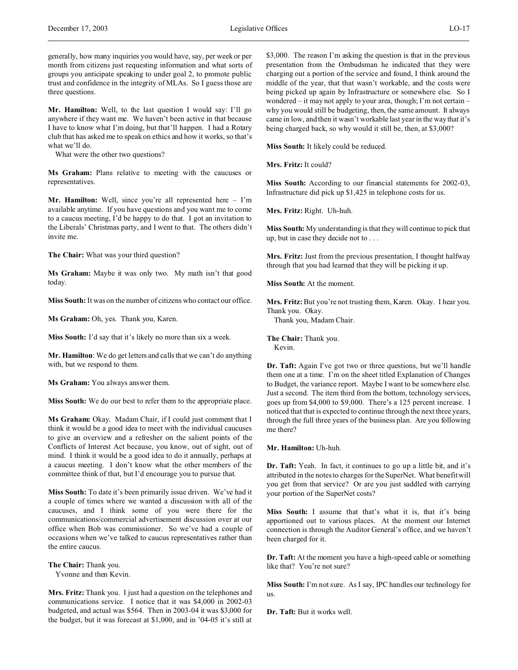generally, how many inquiries you would have, say, per week or per month from citizens just requesting information and what sorts of groups you anticipate speaking to under goal 2, to promote public trust and confidence in the integrity of MLAs. So I guess those are three questions.

**Mr. Hamilton:** Well, to the last question I would say: I'll go anywhere if they want me. We haven't been active in that because I have to know what I'm doing, but that'll happen. I had a Rotary club that has asked me to speak on ethics and how it works, so that's what we'll do.

What were the other two questions?

**Ms Graham:** Plans relative to meeting with the caucuses or representatives.

**Mr. Hamilton:** Well, since you're all represented here – I'm available anytime. If you have questions and you want me to come to a caucus meeting, I'd be happy to do that. I got an invitation to the Liberals' Christmas party, and I went to that. The others didn't invite me.

**The Chair:** What was your third question?

**Ms Graham:** Maybe it was only two. My math isn't that good today.

**Miss South:** It was on the number of citizens who contact our office.

**Ms Graham:** Oh, yes. Thank you, Karen.

**Miss South:** I'd say that it's likely no more than six a week.

**Mr. Hamilton**: We do get letters and calls that we can't do anything with, but we respond to them.

**Ms Graham:** You always answer them.

**Miss South:** We do our best to refer them to the appropriate place.

**Ms Graham:** Okay. Madam Chair, if I could just comment that I think it would be a good idea to meet with the individual caucuses to give an overview and a refresher on the salient points of the Conflicts of Interest Act because, you know, out of sight, out of mind. I think it would be a good idea to do it annually, perhaps at a caucus meeting. I don't know what the other members of the committee think of that, but I'd encourage you to pursue that.

**Miss South:** To date it's been primarily issue driven. We've had it a couple of times where we wanted a discussion with all of the caucuses, and I think some of you were there for the communications/commercial advertisement discussion over at our office when Bob was commissioner. So we've had a couple of occasions when we've talked to caucus representatives rather than the entire caucus.

## **The Chair:** Thank you.

Yvonne and then Kevin.

**Mrs. Fritz:** Thank you. I just had a question on the telephones and communications service. I notice that it was \$4,000 in 2002-03 budgeted, and actual was \$564. Then in 2003-04 it was \$3,000 for the budget, but it was forecast at \$1,000, and in '04-05 it's still at

\$3,000. The reason I'm asking the question is that in the previous presentation from the Ombudsman he indicated that they were charging out a portion of the service and found, I think around the middle of the year, that that wasn't workable, and the costs were being picked up again by Infrastructure or somewhere else. So I wondered – it may not apply to your area, though; I'm not certain – why you would still be budgeting, then, the same amount. It always came in low, and then it wasn't workable last year in the way that it's being charged back, so why would it still be, then, at \$3,000?

**Miss South:** It likely could be reduced.

**Mrs. Fritz:** It could?

**Miss South:** According to our financial statements for 2002-03, Infrastructure did pick up \$1,425 in telephone costs for us.

**Mrs. Fritz:** Right. Uh-huh.

**Miss South:** My understanding is that they will continue to pick that up, but in case they decide not to . . .

**Mrs. Fritz:** Just from the previous presentation, I thought halfway through that you had learned that they will be picking it up.

**Miss South:** At the moment.

**Mrs. Fritz:** But you're not trusting them, Karen. Okay. I hear you. Thank you. Okay.

Thank you, Madam Chair.

**The Chair:** Thank you. Kevin.

**Dr. Taft:** Again I've got two or three questions, but we'll handle them one at a time. I'm on the sheet titled Explanation of Changes to Budget, the variance report. Maybe I want to be somewhere else. Just a second. The item third from the bottom, technology services, goes up from \$4,000 to \$9,000. There's a 125 percent increase. I noticed that that is expected to continue through the next three years, through the full three years of the business plan. Are you following me there?

**Mr. Hamilton:** Uh-huh.

**Dr. Taft:** Yeah. In fact, it continues to go up a little bit, and it's attributed in the notes to charges for the SuperNet. What benefit will you get from that service? Or are you just saddled with carrying your portion of the SuperNet costs?

Miss South: I assume that that's what it is, that it's being apportioned out to various places. At the moment our Internet connection is through the Auditor General's office, and we haven't been charged for it.

**Dr. Taft:** At the moment you have a high-speed cable or something like that? You're not sure?

**Miss South:** I'm not sure. As I say, IPC handles our technology for us.

**Dr. Taft:** But it works well.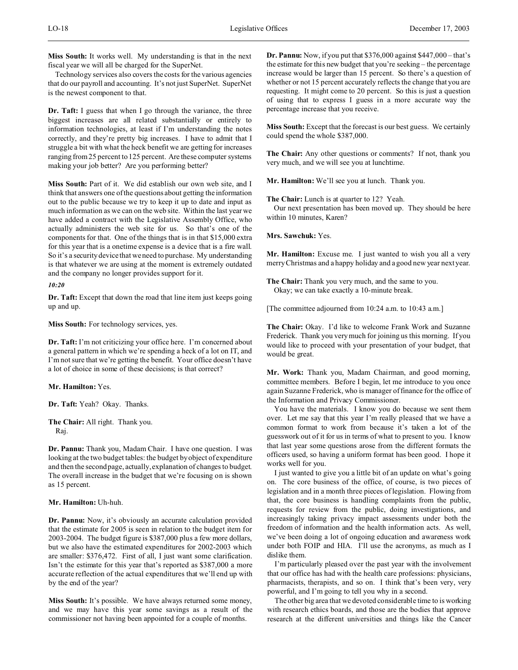**Miss South:** It works well. My understanding is that in the next fiscal year we will all be charged for the SuperNet.

Technology services also covers the costs for the various agencies that do our payroll and accounting. It's not just SuperNet. SuperNet is the newest component to that.

**Dr. Taft:** I guess that when I go through the variance, the three biggest increases are all related substantially or entirely to information technologies, at least if I'm understanding the notes correctly, and they're pretty big increases. I have to admit that I struggle a bit with what the heck benefit we are getting for increases ranging from 25 percent to 125 percent. Are these computer systems making your job better? Are you performing better?

**Miss South:** Part of it. We did establish our own web site, and I think that answers one of the questions about getting the information out to the public because we try to keep it up to date and input as much information as we can on the web site. Within the last year we have added a contract with the Legislative Assembly Office, who actually administers the web site for us. So that's one of the components for that. One of the things that is in that \$15,000 extra for this year that is a onetime expense is a device that is a fire wall. So it's a security device that we need to purchase. My understanding is that whatever we are using at the moment is extremely outdated and the company no longer provides support for it.

## *10:20*

**Dr. Taft:** Except that down the road that line item just keeps going up and up.

**Miss South:** For technology services, yes.

**Dr. Taft:** I'm not criticizing your office here. I'm concerned about a general pattern in which we're spending a heck of a lot on IT, and I'm not sure that we're getting the benefit. Your office doesn't have a lot of choice in some of these decisions; is that correct?

**Mr. Hamilton:** Yes.

**Dr. Taft:** Yeah? Okay. Thanks.

**The Chair:** All right. Thank you. Raj.

**Dr. Pannu:** Thank you, Madam Chair. I have one question. I was looking at the two budget tables: the budget by object of expenditure and then the second page, actually, explanation of changes to budget. The overall increase in the budget that we're focusing on is shown as 15 percent.

# **Mr. Hamilton:** Uh-huh.

**Dr. Pannu:** Now, it's obviously an accurate calculation provided that the estimate for 2005 is seen in relation to the budget item for 2003-2004. The budget figure is \$387,000 plus a few more dollars, but we also have the estimated expenditures for 2002-2003 which are smaller: \$376,472. First of all, I just want some clarification. Isn't the estimate for this year that's reported as \$387,000 a more accurate reflection of the actual expenditures that we'll end up with by the end of the year?

**Miss South:** It's possible. We have always returned some money, and we may have this year some savings as a result of the commissioner not having been appointed for a couple of months.

**Dr. Pannu:** Now, if you put that \$376,000 against \$447,000 – that's the estimate for this new budget that you're seeking – the percentage increase would be larger than 15 percent. So there's a question of whether or not 15 percent accurately reflects the change that you are requesting. It might come to 20 percent. So this is just a question of using that to express I guess in a more accurate way the percentage increase that you receive.

**Miss South:** Except that the forecast is our best guess. We certainly could spend the whole \$387,000.

**The Chair:** Any other questions or comments? If not, thank you very much, and we will see you at lunchtime.

**Mr. Hamilton:** We'll see you at lunch. Thank you.

**The Chair:** Lunch is at quarter to 12? Yeah.

Our next presentation has been moved up. They should be here within 10 minutes, Karen?

**Mrs. Sawchuk:** Yes.

**Mr. Hamilton:** Excuse me. I just wanted to wish you all a very merry Christmas and a happy holiday and a good new year next year.

**The Chair:** Thank you very much, and the same to you. Okay; we can take exactly a 10-minute break.

[The committee adjourned from 10:24 a.m. to 10:43 a.m.]

**The Chair:** Okay. I'd like to welcome Frank Work and Suzanne Frederick. Thank you very much for joining us this morning. If you would like to proceed with your presentation of your budget, that would be great.

**Mr. Work:** Thank you, Madam Chairman, and good morning, committee members. Before I begin, let me introduce to you once again Suzanne Frederick, who is manager of finance for the office of the Information and Privacy Commissioner.

You have the materials. I know you do because we sent them over. Let me say that this year I'm really pleased that we have a common format to work from because it's taken a lot of the guesswork out of it for us in terms of what to present to you. I know that last year some questions arose from the different formats the officers used, so having a uniform format has been good. I hope it works well for you.

I just wanted to give you a little bit of an update on what's going on. The core business of the office, of course, is two pieces of legislation and in a month three pieces of legislation. Flowing from that, the core business is handling complaints from the public, requests for review from the public, doing investigations, and increasingly taking privacy impact assessments under both the freedom of information and the health information acts. As well, we've been doing a lot of ongoing education and awareness work under both FOIP and HIA. I'll use the acronyms, as much as I dislike them.

I'm particularly pleased over the past year with the involvement that our office has had with the health care professions: physicians, pharmacists, therapists, and so on. I think that's been very, very powerful, and I'm going to tell you why in a second.

The other big area that we devoted considerable time to is working with research ethics boards, and those are the bodies that approve research at the different universities and things like the Cancer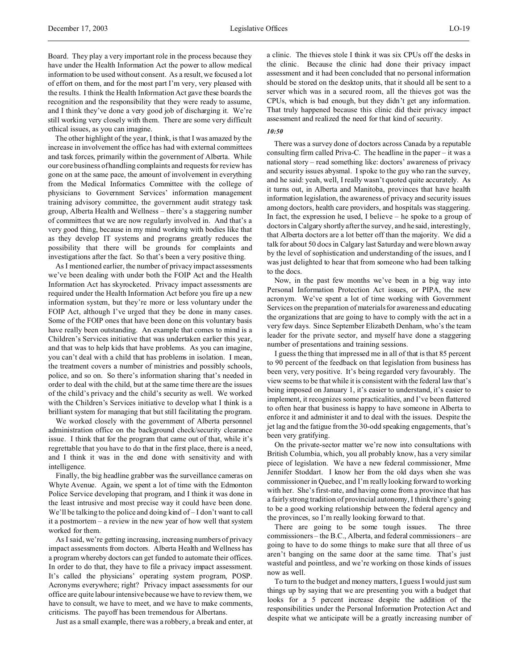Board. They play a very important role in the process because they have under the Health Information Act the power to allow medical information to be used without consent. As a result, we focused a lot of effort on them, and for the most part I'm very, very pleased with the results. I think the Health Information Act gave these boards the recognition and the responsibility that they were ready to assume, and I think they've done a very good job of discharging it. We're still working very closely with them. There are some very difficult ethical issues, as you can imagine.

The other highlight of the year, I think, is that I was amazed by the increase in involvement the office has had with external committees and task forces, primarily within the government of Alberta. While our core business of handling complaints and requests for review has gone on at the same pace, the amount of involvement in everything from the Medical Informatics Committee with the college of physicians to Government Services' information management training advisory committee, the government audit strategy task group, Alberta Health and Wellness – there's a staggering number of committees that we are now regularly involved in. And that's a very good thing, because in my mind working with bodies like that as they develop IT systems and programs greatly reduces the possibility that there will be grounds for complaints and investigations after the fact. So that's been a very positive thing.

As I mentioned earlier, the number of privacy impact assessments we've been dealing with under both the FOIP Act and the Health Information Act has skyrocketed. Privacy impact assessments are required under the Health Information Act before you fire up a new information system, but they're more or less voluntary under the FOIP Act, although I've urged that they be done in many cases. Some of the FOIP ones that have been done on this voluntary basis have really been outstanding. An example that comes to mind is a Children's Services initiative that was undertaken earlier this year, and that was to help kids that have problems. As you can imagine, you can't deal with a child that has problems in isolation. I mean, the treatment covers a number of ministries and possibly schools, police, and so on. So there's information sharing that's needed in order to deal with the child, but at the same time there are the issues of the child's privacy and the child's security as well. We worked with the Children's Services initiative to develop what I think is a brilliant system for managing that but still facilitating the program.

We worked closely with the government of Alberta personnel administration office on the background check/security clearance issue. I think that for the program that came out of that, while it's regrettable that you have to do that in the first place, there is a need, and I think it was in the end done with sensitivity and with intelligence.

Finally, the big headline grabber was the surveillance cameras on Whyte Avenue. Again, we spent a lot of time with the Edmonton Police Service developing that program, and I think it was done in the least intrusive and most precise way it could have been done. We'll be talking to the police and doing kind of – I don't want to call it a postmortem – a review in the new year of how well that system worked for them.

As I said, we're getting increasing, increasing numbers of privacy impact assessments from doctors. Alberta Health and Wellness has a program whereby doctors can get funded to automate their offices. In order to do that, they have to file a privacy impact assessment. It's called the physicians' operating system program, POSP. Acronyms everywhere; right? Privacy impact assessments for our office are quite labour intensive because we have to review them, we have to consult, we have to meet, and we have to make comments, criticisms. The payoff has been tremendous for Albertans.

Just as a small example, there was a robbery, a break and enter, at

a clinic. The thieves stole I think it was six CPUs off the desks in the clinic. Because the clinic had done their privacy impact assessment and it had been concluded that no personal information should be stored on the desktop units, that it should all be sent to a server which was in a secured room, all the thieves got was the CPUs, which is bad enough, but they didn't get any information. That truly happened because this clinic did their privacy impact assessment and realized the need for that kind of security.

#### *10:50*

There was a survey done of doctors across Canada by a reputable consulting firm called Priva-C. The headline in the paper – it was a national story – read something like: doctors' awareness of privacy and security issues abysmal. I spoke to the guy who ran the survey, and he said: yeah, well, I really wasn't quoted quite accurately. As it turns out, in Alberta and Manitoba, provinces that have health information legislation, the awareness of privacy and security issues among doctors, health care providers, and hospitals was staggering. In fact, the expression he used, I believe – he spoke to a group of doctors in Calgary shortly after the survey, and he said, interestingly, that Alberta doctors are a lot better off than the majority. We did a talk for about 50 docs in Calgary last Saturday and were blown away by the level of sophistication and understanding of the issues, and I was just delighted to hear that from someone who had been talking to the docs.

Now, in the past few months we've been in a big way into Personal Information Protection Act issues, or PIPA, the new acronym. We've spent a lot of time working with Government Services on the preparation of materials for awareness and educating the organizations that are going to have to comply with the act in a very few days. Since September Elizabeth Denham, who's the team leader for the private sector, and myself have done a staggering number of presentations and training sessions.

I guess the thing that impressed me in all of that is that 85 percent to 90 percent of the feedback on that legislation from business has been very, very positive. It's being regarded very favourably. The view seems to be that while it is consistent with the federal law that's being imposed on January 1, it's easier to understand, it's easier to implement, it recognizes some practicalities, and I've been flattered to often hear that business is happy to have someone in Alberta to enforce it and administer it and to deal with the issues. Despite the jet lag and the fatigue from the 30-odd speaking engagements, that's been very gratifying.

On the private-sector matter we're now into consultations with British Columbia, which, you all probably know, has a very similar piece of legislation. We have a new federal commissioner, Mme Jennifer Stoddart. I know her from the old days when she was commissioner in Quebec, and I'm really looking forward to working with her. She's first-rate, and having come from a province that has a fairly strong tradition of provincial autonomy, I think there's going to be a good working relationship between the federal agency and the provinces, so I'm really looking forward to that.

There are going to be some tough issues. The three commissioners – the B.C., Alberta, and federal commissioners – are going to have to do some things to make sure that all three of us aren't banging on the same door at the same time. That's just wasteful and pointless, and we're working on those kinds of issues now as well.

To turn to the budget and money matters, I guess I would just sum things up by saying that we are presenting you with a budget that looks for a 5 percent increase despite the addition of the responsibilities under the Personal Information Protection Act and despite what we anticipate will be a greatly increasing number of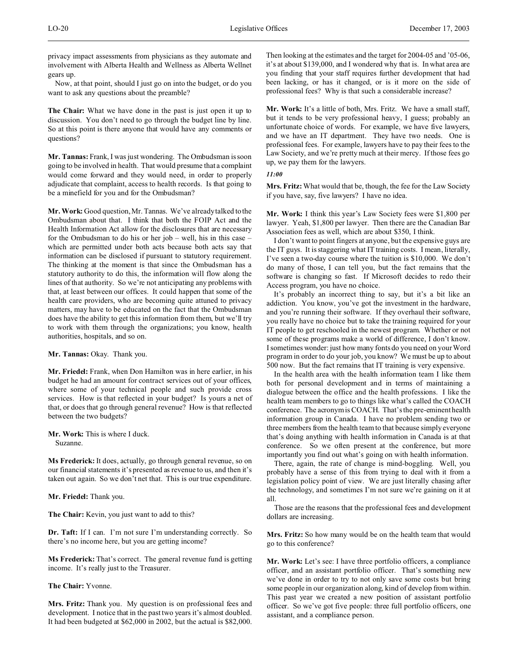privacy impact assessments from physicians as they automate and involvement with Alberta Health and Wellness as Alberta Wellnet gears up.

Now, at that point, should I just go on into the budget, or do you want to ask any questions about the preamble?

**The Chair:** What we have done in the past is just open it up to discussion. You don't need to go through the budget line by line. So at this point is there anyone that would have any comments or questions?

**Mr. Tannas:** Frank, I was just wondering. The Ombudsman is soon going to be involved in health. That would presume that a complaint would come forward and they would need, in order to properly adjudicate that complaint, access to health records. Is that going to be a minefield for you and for the Ombudsman?

**Mr. Work:** Good question, Mr. Tannas. We've already talked to the Ombudsman about that. I think that both the FOIP Act and the Health Information Act allow for the disclosures that are necessary for the Ombudsman to do his or her job – well, his in this case – which are permitted under both acts because both acts say that information can be disclosed if pursuant to statutory requirement. The thinking at the moment is that since the Ombudsman has a statutory authority to do this, the information will flow along the lines of that authority. So we're not anticipating any problems with that, at least between our offices. It could happen that some of the health care providers, who are becoming quite attuned to privacy matters, may have to be educated on the fact that the Ombudsman does have the ability to get this information from them, but we'll try to work with them through the organizations; you know, health authorities, hospitals, and so on.

**Mr. Tannas:** Okay. Thank you.

**Mr. Friedel:** Frank, when Don Hamilton was in here earlier, in his budget he had an amount for contract services out of your offices, where some of your technical people and such provide cross services. How is that reflected in your budget? Is yours a net of that, or does that go through general revenue? How is that reflected between the two budgets?

**Mr. Work:** This is where I duck. Suzanne.

**Ms Frederick:** It does, actually, go through general revenue, so on our financial statements it's presented as revenue to us, and then it's taken out again. So we don't net that. This is our true expenditure.

**Mr. Friedel:** Thank you.

**The Chair:** Kevin, you just want to add to this?

**Dr. Taft:** If I can. I'm not sure I'm understanding correctly. So there's no income here, but you are getting income?

**Ms Frederick:** That's correct. The general revenue fund is getting income. It's really just to the Treasurer.

# **The Chair:** Yvonne.

**Mrs. Fritz:** Thank you. My question is on professional fees and development. I notice that in the past two years it's almost doubled. It had been budgeted at \$62,000 in 2002, but the actual is \$82,000.

Then looking at the estimates and the target for 2004-05 and '05-06, it's at about \$139,000, and I wondered why that is. In what area are you finding that your staff requires further development that had been lacking, or has it changed, or is it more on the side of professional fees? Why is that such a considerable increase?

**Mr. Work:** It's a little of both, Mrs. Fritz. We have a small staff, but it tends to be very professional heavy, I guess; probably an unfortunate choice of words. For example, we have five lawyers, and we have an IT department. They have two needs. One is professional fees. For example, lawyers have to pay their fees to the Law Society, and we're pretty much at their mercy. If those fees go up, we pay them for the lawyers.

#### *11:00*

**Mrs. Fritz:** What would that be, though, the fee for the Law Society if you have, say, five lawyers? I have no idea.

**Mr. Work:** I think this year's Law Society fees were \$1,800 per lawyer. Yeah, \$1,800 per lawyer. Then there are the Canadian Bar Association fees as well, which are about \$350, I think.

I don't want to point fingers at anyone, but the expensive guys are the IT guys. It is staggering what IT training costs. I mean, literally, I've seen a two-day course where the tuition is \$10,000. We don't do many of those, I can tell you, but the fact remains that the software is changing so fast. If Microsoft decides to redo their Access program, you have no choice.

It's probably an incorrect thing to say, but it's a bit like an addiction. You know, you've got the investment in the hardware, and you're running their software. If they overhaul their software, you really have no choice but to take the training required for your IT people to get reschooled in the newest program. Whether or not some of these programs make a world of difference, I don't know. I sometimes wonder: just how many fonts do you need on your Word program in order to do your job, you know? We must be up to about 500 now. But the fact remains that IT training is very expensive.

In the health area with the health information team I like them both for personal development and in terms of maintaining a dialogue between the office and the health professions. I like the health team members to go to things like what's called the COACH conference. The acronym is COACH. That's the pre-eminent health information group in Canada. I have no problem sending two or three members from the health team to that because simply everyone that's doing anything with health information in Canada is at that conference. So we often present at the conference, but more importantly you find out what's going on with health information.

There, again, the rate of change is mind-boggling. Well, you probably have a sense of this from trying to deal with it from a legislation policy point of view. We are just literally chasing after the technology, and sometimes I'm not sure we're gaining on it at all.

Those are the reasons that the professional fees and development dollars are increasing.

**Mrs. Fritz:** So how many would be on the health team that would go to this conference?

**Mr. Work:** Let's see: I have three portfolio officers, a compliance officer, and an assistant portfolio officer. That's something new we've done in order to try to not only save some costs but bring some people in our organization along, kind of develop from within. This past year we created a new position of assistant portfolio officer. So we've got five people: three full portfolio officers, one assistant, and a compliance person.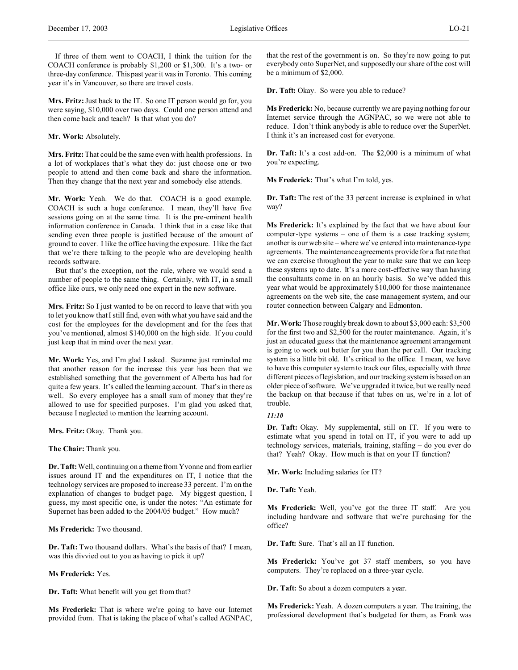**Mrs. Fritz:** Just back to the IT. So one IT person would go for, you were saying, \$10,000 over two days. Could one person attend and then come back and teach? Is that what you do?

## **Mr. Work:** Absolutely.

**Mrs. Fritz:** That could be the same even with health professions. In a lot of workplaces that's what they do: just choose one or two people to attend and then come back and share the information. Then they change that the next year and somebody else attends.

**Mr. Work:** Yeah. We do that. COACH is a good example. COACH is such a huge conference. I mean, they'll have five sessions going on at the same time. It is the pre-eminent health information conference in Canada. I think that in a case like that sending even three people is justified because of the amount of ground to cover. I like the office having the exposure. I like the fact that we're there talking to the people who are developing health records software.

But that's the exception, not the rule, where we would send a number of people to the same thing. Certainly, with IT, in a small office like ours, we only need one expert in the new software.

**Mrs. Fritz:** So I just wanted to be on record to leave that with you to let you know that I still find, even with what you have said and the cost for the employees for the development and for the fees that you've mentioned, almost \$140,000 on the high side. If you could just keep that in mind over the next year.

**Mr. Work:** Yes, and I'm glad I asked. Suzanne just reminded me that another reason for the increase this year has been that we established something that the government of Alberta has had for quite a few years. It's called the learning account. That's in there as well. So every employee has a small sum of money that they're allowed to use for specified purposes. I'm glad you asked that, because I neglected to mention the learning account.

**Mrs. Fritz:** Okay. Thank you.

**The Chair:** Thank you.

**Dr. Taft:** Well, continuing on a theme from Yvonne and from earlier issues around IT and the expenditures on IT, I notice that the technology services are proposed to increase 33 percent. I'm on the explanation of changes to budget page. My biggest question, I guess, my most specific one, is under the notes: "An estimate for Supernet has been added to the 2004/05 budget." How much?

**Ms Frederick:** Two thousand.

**Dr. Taft:** Two thousand dollars. What's the basis of that? I mean, was this divvied out to you as having to pick it up?

**Ms Frederick:** Yes.

**Dr. Taft:** What benefit will you get from that?

**Ms Frederick:** That is where we're going to have our Internet provided from. That is taking the place of what's called AGNPAC, that the rest of the government is on. So they're now going to put everybody onto SuperNet, and supposedly our share of the cost will be a minimum of \$2,000.

**Dr. Taft:** Okay. So were you able to reduce?

**Ms Frederick:** No, because currently we are paying nothing for our Internet service through the AGNPAC, so we were not able to reduce. I don't think anybody is able to reduce over the SuperNet. I think it's an increased cost for everyone.

**Dr. Taft:** It's a cost add-on. The \$2,000 is a minimum of what you're expecting.

**Ms Frederick:** That's what I'm told, yes.

**Dr. Taft:** The rest of the 33 percent increase is explained in what way?

**Ms Frederick:** It's explained by the fact that we have about four computer-type systems – one of them is a case tracking system; another is our web site – where we've entered into maintenance-type agreements. The maintenance agreements provide for a flat rate that we can exercise throughout the year to make sure that we can keep these systems up to date. It's a more cost-effective way than having the consultants come in on an hourly basis. So we've added this year what would be approximately \$10,000 for those maintenance agreements on the web site, the case management system, and our router connection between Calgary and Edmonton.

**Mr. Work:** Those roughly break down to about \$3,000 each: \$3,500 for the first two and \$2,500 for the router maintenance. Again, it's just an educated guess that the maintenance agreement arrangement is going to work out better for you than the per call. Our tracking system is a little bit old. It's critical to the office. I mean, we have to have this computer system to track our files, especially with three different pieces of legislation, and our tracking system is based on an older piece of software. We've upgraded it twice, but we really need the backup on that because if that tubes on us, we're in a lot of trouble.

# *11:10*

**Dr. Taft:** Okay. My supplemental, still on IT. If you were to estimate what you spend in total on IT, if you were to add up technology services, materials, training, staffing – do you ever do that? Yeah? Okay. How much is that on your IT function?

**Mr. Work:** Including salaries for IT?

**Dr. Taft:** Yeah.

**Ms Frederick:** Well, you've got the three IT staff. Are you including hardware and software that we're purchasing for the office?

**Dr. Taft:** Sure. That's all an IT function.

**Ms Frederick:** You've got 37 staff members, so you have computers. They're replaced on a three-year cycle.

**Dr. Taft:** So about a dozen computers a year.

**Ms Frederick:** Yeah. A dozen computers a year. The training, the professional development that's budgeted for them, as Frank was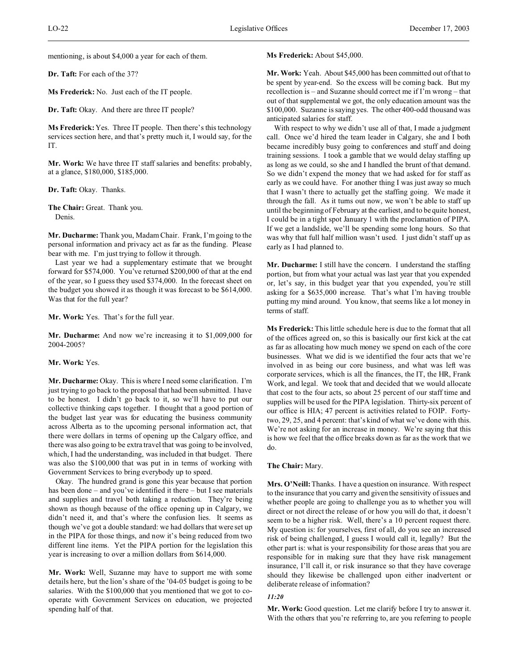mentioning, is about \$4,000 a year for each of them.

**Dr. Taft:** For each of the 37?

**Ms Frederick:** No. Just each of the IT people.

**Dr. Taft:** Okay. And there are three IT people?

**Ms Frederick:** Yes. Three IT people. Then there's this technology services section here, and that's pretty much it, I would say, for the IT.

**Mr. Work:** We have three IT staff salaries and benefits: probably, at a glance, \$180,000, \$185,000.

**Dr. Taft:** Okay. Thanks.

**The Chair:** Great. Thank you. Denis.

**Mr. Ducharme:** Thank you, Madam Chair. Frank, I'm going to the personal information and privacy act as far as the funding. Please bear with me. I'm just trying to follow it through.

Last year we had a supplementary estimate that we brought forward for \$574,000. You've returned \$200,000 of that at the end of the year, so I guess they used \$374,000. In the forecast sheet on the budget you showed it as though it was forecast to be \$614,000. Was that for the full year?

**Mr. Work:** Yes. That's for the full year.

**Mr. Ducharme:** And now we're increasing it to \$1,009,000 for 2004-2005?

**Mr. Work:** Yes.

**Mr. Ducharme:** Okay. This is where I need some clarification. I'm just trying to go back to the proposal that had been submitted. I have to be honest. I didn't go back to it, so we'll have to put our collective thinking caps together. I thought that a good portion of the budget last year was for educating the business community across Alberta as to the upcoming personal information act, that there were dollars in terms of opening up the Calgary office, and there was also going to be extra travel that was going to be involved, which, I had the understanding, was included in that budget. There was also the \$100,000 that was put in in terms of working with Government Services to bring everybody up to speed.

Okay. The hundred grand is gone this year because that portion has been done – and you've identified it there – but I see materials and supplies and travel both taking a reduction. They're being shown as though because of the office opening up in Calgary, we didn't need it, and that's where the confusion lies. It seems as though we've got a double standard: we had dollars that were set up in the PIPA for those things, and now it's being reduced from two different line items. Yet the PIPA portion for the legislation this year is increasing to over a million dollars from \$614,000.

**Mr. Work:** Well, Suzanne may have to support me with some details here, but the lion's share of the '04-05 budget is going to be salaries. With the \$100,000 that you mentioned that we got to cooperate with Government Services on education, we projected spending half of that.

## **Ms Frederick:** About \$45,000.

**Mr. Work:** Yeah. About \$45,000 has been committed out of that to be spent by year-end. So the excess will be coming back. But my recollection is – and Suzanne should correct me if I'm wrong – that out of that supplemental we got, the only education amount was the \$100,000. Suzanne is saying yes. The other 400-odd thousand was anticipated salaries for staff.

With respect to why we didn't use all of that, I made a judgment call. Once we'd hired the team leader in Calgary, she and I both became incredibly busy going to conferences and stuff and doing training sessions. I took a gamble that we would delay staffing up as long as we could, so she and I handled the brunt of that demand. So we didn't expend the money that we had asked for for staff as early as we could have. For another thing I was just away so much that I wasn't there to actually get the staffing going. We made it through the fall. As it turns out now, we won't be able to staff up until the beginning of February at the earliest, and to be quite honest, I could be in a tight spot January 1 with the proclamation of PIPA. If we get a landslide, we'll be spending some long hours. So that was why that full half million wasn't used. I just didn't staff up as early as I had planned to.

**Mr. Ducharme:** I still have the concern. I understand the staffing portion, but from what your actual was last year that you expended or, let's say, in this budget year that you expended, you're still asking for a \$635,000 increase. That's what I'm having trouble putting my mind around. You know, that seems like a lot money in terms of staff.

**Ms Frederick:** This little schedule here is due to the format that all of the offices agreed on, so this is basically our first kick at the cat as far as allocating how much money we spend on each of the core businesses. What we did is we identified the four acts that we're involved in as being our core business, and what was left was corporate services, which is all the finances, the IT, the HR, Frank Work, and legal. We took that and decided that we would allocate that cost to the four acts, so about 25 percent of our staff time and supplies will be used for the PIPA legislation. Thirty-six percent of our office is HIA; 47 percent is activities related to FOIP. Fortytwo, 29, 25, and 4 percent: that's kind of what we've done with this. We're not asking for an increase in money. We're saying that this is how we feel that the office breaks down as far as the work that we do.

#### **The Chair:** Mary.

**Mrs. O'Neill:**Thanks. I have a question on insurance. With respect to the insurance that you carry and given the sensitivity of issues and whether people are going to challenge you as to whether you will direct or not direct the release of or how you will do that, it doesn't seem to be a higher risk. Well, there's a 10 percent request there. My question is: for yourselves, first of all, do you see an increased risk of being challenged, I guess I would call it, legally? But the other part is: what is your responsibility for those areas that you are responsible for in making sure that they have risk management insurance, I'll call it, or risk insurance so that they have coverage should they likewise be challenged upon either inadvertent or deliberate release of information?

# *11:20*

**Mr. Work:** Good question. Let me clarify before I try to answer it. With the others that you're referring to, are you referring to people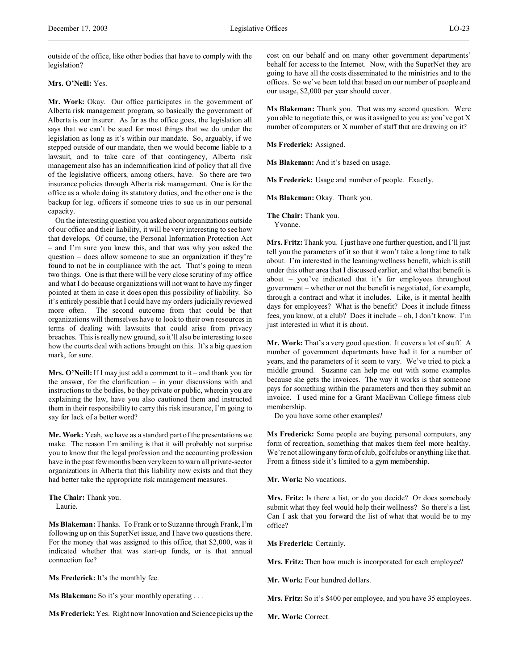outside of the office, like other bodies that have to comply with the legislation?

# **Mrs. O'Neill:** Yes.

**Mr. Work:** Okay. Our office participates in the government of Alberta risk management program, so basically the government of Alberta is our insurer. As far as the office goes, the legislation all says that we can't be sued for most things that we do under the legislation as long as it's within our mandate. So, arguably, if we stepped outside of our mandate, then we would become liable to a lawsuit, and to take care of that contingency, Alberta risk management also has an indemnification kind of policy that all five of the legislative officers, among others, have. So there are two insurance policies through Alberta risk management. One is for the office as a whole doing its statutory duties, and the other one is the backup for leg. officers if someone tries to sue us in our personal capacity.

On the interesting question you asked about organizations outside of our office and their liability, it will be very interesting to see how that develops. Of course, the Personal Information Protection Act – and I'm sure you knew this, and that was why you asked the question – does allow someone to sue an organization if they're found to not be in compliance with the act. That's going to mean two things. One is that there will be very close scrutiny of my office and what I do because organizations will not want to have my finger pointed at them in case it does open this possibility of liability. So it's entirely possible that I could have my orders judicially reviewed more often. The second outcome from that could be that organizations will themselves have to look to their own resources in terms of dealing with lawsuits that could arise from privacy breaches. This is really new ground, so it'll also be interesting to see how the courts deal with actions brought on this. It's a big question mark, for sure.

**Mrs. O'Neill:** If I may just add a comment to it – and thank you for the answer, for the clarification – in your discussions with and instructions to the bodies, be they private or public, wherein you are explaining the law, have you also cautioned them and instructed them in their responsibility to carry this risk insurance, I'm going to say for lack of a better word?

**Mr. Work:** Yeah, we have as a standard part of the presentations we make. The reason I'm smiling is that it will probably not surprise you to know that the legal profession and the accounting profession have in the past few months been very keen to warn all private-sector organizations in Alberta that this liability now exists and that they had better take the appropriate risk management measures.

**The Chair:** Thank you. Laurie.

**Ms Blakeman:** Thanks. To Frank or to Suzanne through Frank, I'm following up on this SuperNet issue, and I have two questions there. For the money that was assigned to this office, that \$2,000, was it indicated whether that was start-up funds, or is that annual connection fee?

**Ms Frederick:** It's the monthly fee.

**Ms Blakeman:** So it's your monthly operating . . .

**Ms Frederick:**Yes. Right now Innovation and Science picks up the

cost on our behalf and on many other government departments' behalf for access to the Internet. Now, with the SuperNet they are going to have all the costs disseminated to the ministries and to the offices. So we've been told that based on our number of people and our usage, \$2,000 per year should cover.

**Ms Blakeman:** Thank you. That was my second question. Were you able to negotiate this, or was it assigned to you as: you've got X number of computers or X number of staff that are drawing on it?

**Ms Frederick:** Assigned.

**Ms Blakeman:** And it's based on usage.

**Ms Frederick:** Usage and number of people. Exactly.

Ms Blakeman: Okay. Thank you.

**The Chair:** Thank you.

Yvonne.

**Mrs. Fritz:** Thank you. I just have one further question, and I'll just tell you the parameters of it so that it won't take a long time to talk about. I'm interested in the learning/wellness benefit, which is still under this other area that I discussed earlier, and what that benefit is about – you've indicated that it's for employees throughout government – whether or not the benefit is negotiated, for example, through a contract and what it includes. Like, is it mental health days for employees? What is the benefit? Does it include fitness fees, you know, at a club? Does it include – oh, I don't know. I'm just interested in what it is about.

**Mr. Work:** That's a very good question. It covers a lot of stuff. A number of government departments have had it for a number of years, and the parameters of it seem to vary. We've tried to pick a middle ground. Suzanne can help me out with some examples because she gets the invoices. The way it works is that someone pays for something within the parameters and then they submit an invoice. I used mine for a Grant MacEwan College fitness club membership.

Do you have some other examples?

**Ms Frederick:** Some people are buying personal computers, any form of recreation, something that makes them feel more healthy. We're not allowing any form of club, golf clubs or anything like that. From a fitness side it's limited to a gym membership.

**Mr. Work:** No vacations.

**Mrs. Fritz:** Is there a list, or do you decide? Or does somebody submit what they feel would help their wellness? So there's a list. Can I ask that you forward the list of what that would be to my office?

**Ms Frederick:** Certainly.

**Mrs. Fritz:** Then how much is incorporated for each employee?

**Mr. Work:** Four hundred dollars.

**Mrs. Fritz:** So it's \$400 per employee, and you have 35 employees.

**Mr. Work:** Correct.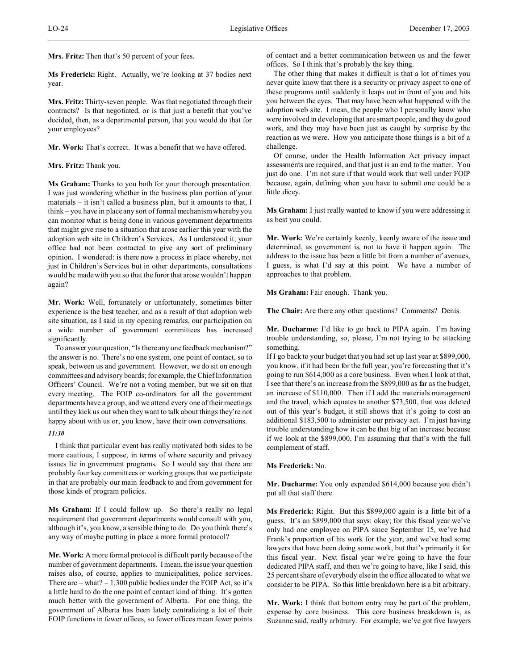**Mrs. Fritz:** Then that's 50 percent of your fees.

**Ms Frederick:** Right. Actually, we're looking at 37 bodies next year.

**Mrs. Fritz:** Thirty-seven people. Was that negotiated through their contracts? Is that negotiated, or is that just a benefit that you've decided, then, as a departmental person, that you would do that for your employees?

**Mr. Work:** That's correct. It was a benefit that we have offered.

## **Mrs. Fritz:** Thank you.

**Ms Graham:** Thanks to you both for your thorough presentation. I was just wondering whether in the business plan portion of your materials – it isn't called a business plan, but it amounts to that, I think – you have in place any sort of formal mechanism whereby you can monitor what is being done in various government departments that might give rise to a situation that arose earlier this year with the adoption web site in Children's Services. As I understood it, your office had not been contacted to give any sort of preliminary opinion. I wondered: is there now a process in place whereby, not just in Children's Services but in other departments, consultations would be made with you so that the furor that arose wouldn't happen again?

**Mr. Work:** Well, fortunately or unfortunately, sometimes bitter experience is the best teacher, and as a result of that adoption web site situation, as I said in my opening remarks, our participation on a wide number of government committees has increased significantly.

To answer your question, "Is there any one feedback mechanism?" the answer is no. There's no one system, one point of contact, so to speak, between us and government. However, we do sit on enough committees and advisory boards; for example, the Chief Information Officers' Council. We're not a voting member, but we sit on that every meeting. The FOIP co-ordinators for all the government departments have a group, and we attend every one of their meetings until they kick us out when they want to talk about things they're not happy about with us or, you know, have their own conversations.

# *11:30*

I think that particular event has really motivated both sides to be more cautious, I suppose, in terms of where security and privacy issues lie in government programs. So I would say that there are probably four key committees or working groups that we participate in that are probably our main feedback to and from government for those kinds of program policies.

**Ms Graham:** If I could follow up. So there's really no legal requirement that government departments would consult with you, although it's, you know, a sensible thing to do. Do you think there's any way of maybe putting in place a more formal protocol?

**Mr. Work:** A more formal protocol is difficult partly because of the number of government departments. I mean, the issue your question raises also, of course, applies to municipalities, police services. There are  $-$  what?  $-1,300$  public bodies under the FOIP Act, so it's a little hard to do the one point of contact kind of thing. It's gotten much better with the government of Alberta. For one thing, the government of Alberta has been lately centralizing a lot of their FOIP functions in fewer offices, so fewer offices mean fewer points of contact and a better communication between us and the fewer offices. So I think that's probably the key thing.

The other thing that makes it difficult is that a lot of times you never quite know that there is a security or privacy aspect to one of these programs until suddenly it leaps out in front of you and hits you between the eyes. That may have been what happened with the adoption web site. I mean, the people who I personally know who were involved in developing that are smart people, and they do good work, and they may have been just as caught by surprise by the reaction as we were. How you anticipate those things is a bit of a challenge.

Of course, under the Health Information Act privacy impact assessments are required, and that just is an end to the matter. You just do one. I'm not sure if that would work that well under FOIP because, again, defining when you have to submit one could be a little dicey.

**Ms Graham:** I just really wanted to know if you were addressing it as best you could.

**Mr. Work:** We're certainly keenly, keenly aware of the issue and determined, as government is, not to have it happen again. The address to the issue has been a little bit from a number of avenues, I guess, is what I'd say at this point. We have a number of approaches to that problem.

Ms Graham: Fair enough. Thank you.

**The Chair:** Are there any other questions? Comments? Denis.

**Mr. Ducharme:** I'd like to go back to PIPA again. I'm having trouble understanding, so, please, I'm not trying to be attacking something.

If I go back to your budget that you had set up last year at \$899,000, you know, if it had been for the full year, you're forecasting that it's going to run \$614,000 as a core business. Even when I look at that, I see that there's an increase from the \$899,000 as far as the budget, an increase of \$110,000. Then if I add the materials management and the travel, which equates to another \$73,500, that was deleted out of this year's budget, it still shows that it's going to cost an additional \$183,500 to administer our privacy act. I'm just having trouble understanding how it can be that big of an increase because if we look at the \$899,000, I'm assuming that that's with the full complement of staff.

#### **Ms Frederick:** No.

**Mr. Ducharme:** You only expended \$614,000 because you didn't put all that staff there.

**Ms Frederick:** Right. But this \$899,000 again is a little bit of a guess. It's an \$899,000 that says: okay; for this fiscal year we've only had one employee on PIPA since September 15, we've had Frank's proportion of his work for the year, and we've had some lawyers that have been doing some work, but that's primarily it for this fiscal year. Next fiscal year we're going to have the four dedicated PIPA staff, and then we're going to have, like I said, this 25 percent share of everybody else in the office allocated to what we consider to be PIPA. So this little breakdown here is a bit arbitrary.

**Mr. Work:** I think that bottom entry may be part of the problem, expense by core business. This core business breakdown is, as Suzanne said, really arbitrary. For example, we've got five lawyers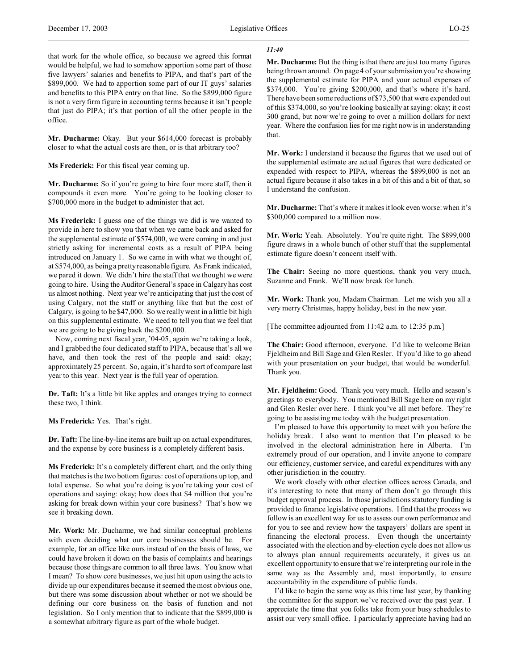### *11:40*

that work for the whole office, so because we agreed this format would be helpful, we had to somehow apportion some part of those five lawyers' salaries and benefits to PIPA, and that's part of the \$899,000. We had to apportion some part of our IT guys' salaries and benefits to this PIPA entry on that line. So the \$899,000 figure is not a very firm figure in accounting terms because it isn't people that just do PIPA; it's that portion of all the other people in the office.

**Mr. Ducharme:** Okay. But your \$614,000 forecast is probably closer to what the actual costs are then, or is that arbitrary too?

**Ms Frederick:** For this fiscal year coming up.

**Mr. Ducharme:** So if you're going to hire four more staff, then it compounds it even more. You're going to be looking closer to \$700,000 more in the budget to administer that act.

**Ms Frederick:** I guess one of the things we did is we wanted to provide in here to show you that when we came back and asked for the supplemental estimate of \$574,000, we were coming in and just strictly asking for incremental costs as a result of PIPA being introduced on January 1. So we came in with what we thought of, at \$574,000, as being a pretty reasonable figure. As Frank indicated, we pared it down. We didn't hire the staff that we thought we were going to hire. Using the Auditor General's space in Calgary has cost us almost nothing. Next year we're anticipating that just the cost of using Calgary, not the staff or anything like that but the cost of Calgary, is going to be \$47,000. So we really went in a little bit high on this supplemental estimate. We need to tell you that we feel that we are going to be giving back the \$200,000.

Now, coming next fiscal year, '04-05, again we're taking a look, and I grabbed the four dedicated staff to PIPA, because that's all we have, and then took the rest of the people and said: okay; approximately 25 percent. So, again, it's hard to sort of compare last year to this year. Next year is the full year of operation.

**Dr. Taft:** It's a little bit like apples and oranges trying to connect these two, I think.

**Ms Frederick:** Yes. That's right.

**Dr. Taft:**The line-by-line items are built up on actual expenditures, and the expense by core business is a completely different basis.

**Ms Frederick:** It's a completely different chart, and the only thing that matches is the two bottom figures: cost of operations up top, and total expense. So what you're doing is you're taking your cost of operations and saying: okay; how does that \$4 million that you're asking for break down within your core business? That's how we see it breaking down.

**Mr. Work:** Mr. Ducharme, we had similar conceptual problems with even deciding what our core businesses should be. For example, for an office like ours instead of on the basis of laws, we could have broken it down on the basis of complaints and hearings because those things are common to all three laws. You know what I mean? To show core businesses, we just hit upon using the acts to divide up our expenditures because it seemed the most obvious one, but there was some discussion about whether or not we should be defining our core business on the basis of function and not legislation. So I only mention that to indicate that the \$899,000 is a somewhat arbitrary figure as part of the whole budget.

**Mr. Ducharme:** But the thing is that there are just too many figures being thrown around. On page 4 of your submission you're showing the supplemental estimate for PIPA and your actual expenses of \$374,000. You're giving \$200,000, and that's where it's hard. There have been some reductions of \$73,500 that were expended out of this \$374,000, so you're looking basically at saying: okay; it cost 300 grand, but now we're going to over a million dollars for next year. Where the confusion lies for me right now is in understanding that.

**Mr. Work:** I understand it because the figures that we used out of the supplemental estimate are actual figures that were dedicated or expended with respect to PIPA, whereas the \$899,000 is not an actual figure because it also takes in a bit of this and a bit of that, so I understand the confusion.

**Mr. Ducharme:** That's where it makes it look even worse: when it's \$300,000 compared to a million now.

**Mr. Work:** Yeah. Absolutely. You're quite right. The \$899,000 figure draws in a whole bunch of other stuff that the supplemental estimate figure doesn't concern itself with.

**The Chair:** Seeing no more questions, thank you very much, Suzanne and Frank. We'll now break for lunch.

**Mr. Work:** Thank you, Madam Chairman. Let me wish you all a very merry Christmas, happy holiday, best in the new year.

[The committee adjourned from 11:42 a.m. to 12:35 p.m.]

**The Chair:** Good afternoon, everyone. I'd like to welcome Brian Fjeldheim and Bill Sage and Glen Resler. If you'd like to go ahead with your presentation on your budget, that would be wonderful. Thank you.

**Mr. Fjeldheim:** Good. Thank you very much. Hello and season's greetings to everybody. You mentioned Bill Sage here on my right and Glen Resler over here. I think you've all met before. They're going to be assisting me today with the budget presentation.

I'm pleased to have this opportunity to meet with you before the holiday break. I also want to mention that I'm pleased to be involved in the electoral administration here in Alberta. I'm extremely proud of our operation, and I invite anyone to compare our efficiency, customer service, and careful expenditures with any other jurisdiction in the country.

We work closely with other election offices across Canada, and it's interesting to note that many of them don't go through this budget approval process. In those jurisdictions statutory funding is provided to finance legislative operations. I find that the process we follow is an excellent way for us to assess our own performance and for you to see and review how the taxpayers' dollars are spent in financing the electoral process. Even though the uncertainty associated with the election and by-election cycle does not allow us to always plan annual requirements accurately, it gives us an excellent opportunity to ensure that we're interpreting our role in the same way as the Assembly and, most importantly, to ensure accountability in the expenditure of public funds.

I'd like to begin the same way as this time last year, by thanking the committee for the support we've received over the past year. I appreciate the time that you folks take from your busy schedules to assist our very small office. I particularly appreciate having had an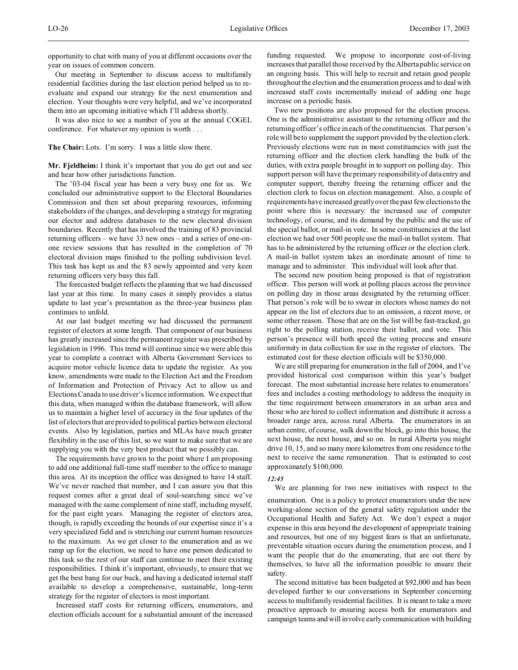opportunity to chat with many of you at different occasions over the year on issues of common concern.

Our meeting in September to discuss access to multifamily residential facilities during the last election period helped us to reevaluate and expand our strategy for the next enumeration and election. Your thoughts were very helpful, and we've incorporated them into an upcoming initiative which I'll address shortly.

It was also nice to see a number of you at the annual COGEL conference. For whatever my opinion is worth . . .

**The Chair:** Lots. I'm sorry. I was a little slow there.

**Mr. Fjeldheim:** I think it's important that you do get out and see and hear how other jurisdictions function.

The '03-04 fiscal year has been a very busy one for us. We concluded our administrative support to the Electoral Boundaries Commission and then set about preparing resources, informing stakeholders of the changes, and developing a strategy for migrating our elector and address databases to the new electoral division boundaries. Recently that has involved the training of 83 provincial returning officers – we have 33 new ones – and a series of one-onone review sessions that has resulted in the completion of 70 electoral division maps finished to the polling subdivision level. This task has kept us and the 83 newly appointed and very keen returning officers very busy this fall.

The forecasted budget reflects the planning that we had discussed last year at this time. In many cases it simply provides a status update to last year's presentation as the three-year business plan continues to unfold.

At our last budget meeting we had discussed the permanent register of electors at some length. That component of our business has greatly increased since the permanent register was prescribed by legislation in 1996. This trend will continue since we were able this year to complete a contract with Alberta Government Services to acquire motor vehicle licence data to update the register. As you know, amendments were made to the Election Act and the Freedom of Information and Protection of Privacy Act to allow us and Elections Canada to use driver's licence information. We expect that this data, when managed within the database framework, will allow us to maintain a higher level of accuracy in the four updates of the list of electors that are provided to political parties between electoral events. Also by legislation, parties and MLAs have much greater flexibility in the use of this list, so we want to make sure that we are supplying you with the very best product that we possibly can.

The requirements have grown to the point where I am proposing to add one additional full-time staff member to the office to manage this area. At its inception the office was designed to have 14 staff. We've never reached that number, and I can assure you that this request comes after a great deal of soul-searching since we've managed with the same complement of nine staff, including myself, for the past eight years. Managing the register of electors area, though, is rapidly exceeding the bounds of our expertise since it's a very specialized field and is stretching our current human resources to the maximum. As we get closer to the enumeration and as we ramp up for the election, we need to have one person dedicated to this task so the rest of our staff can continue to meet their existing responsibilities. I think it's important, obviously, to ensure that we get the best bang for our buck, and having a dedicated internal staff available to develop a comprehensive, sustainable, long-term strategy for the register of electors is most important.

Increased staff costs for returning officers, enumerators, and election officials account for a substantial amount of the increased

funding requested. We propose to incorporate cost-of-living increases that parallel those received by the Alberta public service on an ongoing basis. This will help to recruit and retain good people throughout the election and the enumeration process and to deal with increased staff costs incrementally instead of adding one huge increase on a periodic basis.

Two new positions are also proposed for the election process. One is the administrative assistant to the returning officer and the returning officer's office in each of the constituencies. That person's role will be to supplement the support provided by the election clerk. Previously elections were run in most constituencies with just the returning officer and the election clerk handling the bulk of the duties, with extra people brought in to support on polling day. This support person will have the primary responsibility of data entry and computer support, thereby freeing the returning officer and the election clerk to focus on election management. Also, a couple of requirements have increased greatly over the past few elections to the point where this is necessary: the increased use of computer technology, of course, and its demand by the public and the use of the special ballot, or mail-in vote. In some constituencies at the last election we had over 500 people use the mail-in ballot system. That has to be administered by the returning officer or the election clerk. A mail-in ballot system takes an inordinate amount of time to manage and to administer. This individual will look after that.

The second new position being proposed is that of registration officer. This person will work at polling places across the province on polling day in those areas designated by the returning officer. That person's role will be to swear in electors whose names do not appear on the list of electors due to an omission, a recent move, or some other reason. Those that are on the list will be fast-tracked, go right to the polling station, receive their ballot, and vote. This person's presence will both speed the voting process and ensure uniformity in data collection for use in the register of electors. The estimated cost for these election officials will be \$350,000.

We are still preparing for enumeration in the fall of 2004, and I've provided historical cost comparison within this year's budget forecast. The most substantial increase here relates to enumerators' fees and includes a costing methodology to address the inequity in the time requirement between enumerators in an urban area and those who are hired to collect information and distribute it across a broader range area, across rural Alberta. The enumerators in an urban centre, of course, walk down the block, go into this house, the next house, the next house, and so on. In rural Alberta you might drive 10, 15, and so many more kilometres from one residence to the next to receive the same remuneration. That is estimated to cost approximately \$100,000.

#### *12:45*

We are planning for two new initiatives with respect to the

enumeration. One is a policy to protect enumerators under the new working-alone section of the general safety regulation under the Occupational Health and Safety Act. We don't expect a major expense in this area beyond the development of appropriate training and resources, but one of my biggest fears is that an unfortunate, preventable situation occurs during the enumeration process, and I want the people that do the enumerating, that are out there by themselves, to have all the information possible to ensure their safety.

The second initiative has been budgeted at \$92,000 and has been developed further to our conversations in September concerning access to multifamily residential facilities. It is meant to take a more proactive approach to ensuring access both for enumerators and campaign teams and will involve early communication with building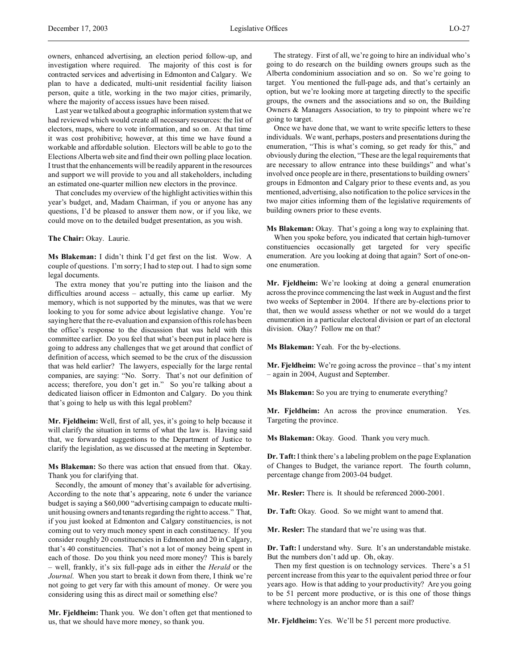Last year we talked about a geographic information system that we had reviewed which would create all necessary resources: the list of electors, maps, where to vote information, and so on. At that time it was cost prohibitive; however, at this time we have found a workable and affordable solution. Electors will be able to go to the Elections Alberta web site and find their own polling place location. I trust that the enhancements will be readily apparent in the resources and support we will provide to you and all stakeholders, including an estimated one-quarter million new electors in the province.

That concludes my overview of the highlight activities within this year's budget, and, Madam Chairman, if you or anyone has any questions, I'd be pleased to answer them now, or if you like, we could move on to the detailed budget presentation, as you wish.

**The Chair:** Okay. Laurie.

**Ms Blakeman:** I didn't think I'd get first on the list. Wow. A couple of questions. I'm sorry; I had to step out. I had to sign some legal documents.

The extra money that you're putting into the liaison and the difficulties around access – actually, this came up earlier. My memory, which is not supported by the minutes, was that we were looking to you for some advice about legislative change. You're saying here that the re-evaluation and expansion of this role has been the office's response to the discussion that was held with this committee earlier. Do you feel that what's been put in place here is going to address any challenges that we get around that conflict of definition of access, which seemed to be the crux of the discussion that was held earlier? The lawyers, especially for the large rental companies, are saying: "No. Sorry. That's not our definition of access; therefore, you don't get in." So you're talking about a dedicated liaison officer in Edmonton and Calgary. Do you think that's going to help us with this legal problem?

**Mr. Fjeldheim:** Well, first of all, yes, it's going to help because it will clarify the situation in terms of what the law is. Having said that, we forwarded suggestions to the Department of Justice to clarify the legislation, as we discussed at the meeting in September.

**Ms Blakeman:** So there was action that ensued from that. Okay. Thank you for clarifying that.

Secondly, the amount of money that's available for advertising. According to the note that's appearing, note 6 under the variance budget is saying a \$60,000 "advertising campaign to educate multiunit housing owners and tenants regarding the right to access." That, if you just looked at Edmonton and Calgary constituencies, is not coming out to very much money spent in each constituency. If you consider roughly 20 constituencies in Edmonton and 20 in Calgary, that's 40 constituencies. That's not a lot of money being spent in each of those. Do you think you need more money? This is barely – well, frankly, it's six full-page ads in either the *Herald* or the *Journal*. When you start to break it down from there, I think we're not going to get very far with this amount of money. Or were you considering using this as direct mail or something else?

**Mr. Fjeldheim:** Thank you. We don't often get that mentioned to us, that we should have more money, so thank you.

The strategy. First of all, we're going to hire an individual who's going to do research on the building owners groups such as the Alberta condominium association and so on. So we're going to target. You mentioned the full-page ads, and that's certainly an option, but we're looking more at targeting directly to the specific groups, the owners and the associations and so on, the Building Owners & Managers Association, to try to pinpoint where we're going to target.

Once we have done that, we want to write specific letters to these individuals. We want, perhaps, posters and presentations during the enumeration, "This is what's coming, so get ready for this," and obviously during the election, "These are the legal requirements that are necessary to allow entrance into these buildings" and what's involved once people are in there, presentations to building owners' groups in Edmonton and Calgary prior to these events and, as you mentioned, advertising, also notification to the police services in the two major cities informing them of the legislative requirements of building owners prior to these events.

**Ms Blakeman:** Okay. That's going a long way to explaining that.

When you spoke before, you indicated that certain high-turnover constituencies occasionally get targeted for very specific enumeration. Are you looking at doing that again? Sort of one-onone enumeration.

**Mr. Fjeldheim:** We're looking at doing a general enumeration across the province commencing the last week in August and the first two weeks of September in 2004. If there are by-elections prior to that, then we would assess whether or not we would do a target enumeration in a particular electoral division or part of an electoral division. Okay? Follow me on that?

**Ms Blakeman:** Yeah. For the by-elections.

**Mr. Fjeldheim:** We're going across the province – that's my intent – again in 2004, August and September.

**Ms Blakeman:** So you are trying to enumerate everything?

**Mr. Fjeldheim:** An across the province enumeration. Yes. Targeting the province.

**Ms Blakeman:** Okay. Good. Thank you very much.

**Dr. Taft:** I think there's a labeling problem on the page Explanation of Changes to Budget, the variance report. The fourth column, percentage change from 2003-04 budget.

**Mr. Resler:** There is. It should be referenced 2000-2001.

**Dr. Taft:** Okay. Good. So we might want to amend that.

**Mr. Resler:** The standard that we're using was that.

**Dr. Taft:** I understand why. Sure. It's an understandable mistake. But the numbers don't add up. Oh, okay.

Then my first question is on technology services. There's a 51 percent increase from this year to the equivalent period three or four years ago. How is that adding to your productivity? Are you going to be 51 percent more productive, or is this one of those things where technology is an anchor more than a sail?

**Mr. Fjeldheim:** Yes. We'll be 51 percent more productive.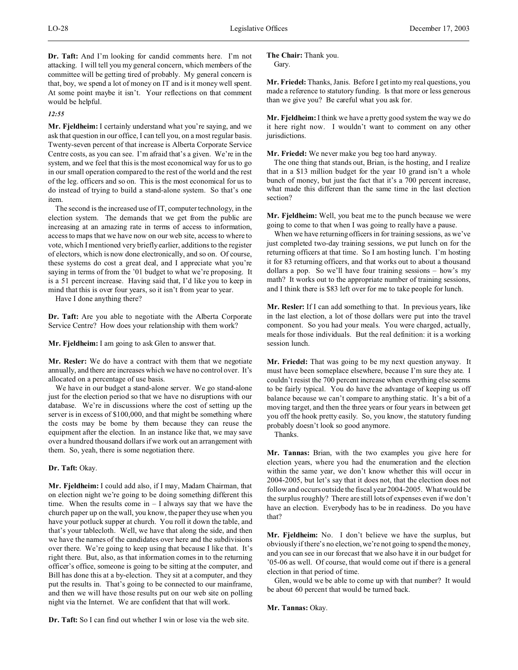**Dr. Taft:** And I'm looking for candid comments here. I'm not attacking. I will tell you my general concern, which members of the committee will be getting tired of probably. My general concern is that, boy, we spend a lot of money on IT and is it money well spent. At some point maybe it isn't. Your reflections on that comment would be helpful.

#### *12:55*

**Mr. Fjeldheim:** I certainly understand what you're saying, and we ask that question in our office, I can tell you, on a most regular basis. Twenty-seven percent of that increase is Alberta Corporate Service Centre costs, as you can see. I'm afraid that's a given. We're in the system, and we feel that this is the most economical way for us to go in our small operation compared to the rest of the world and the rest of the leg. officers and so on. This is the most economical for us to do instead of trying to build a stand-alone system. So that's one item.

The second is the increased use of IT, computer technology, in the election system. The demands that we get from the public are increasing at an amazing rate in terms of access to information, access to maps that we have now on our web site, access to where to vote, which I mentioned very briefly earlier, additions to the register of electors, which is now done electronically, and so on. Of course, these systems do cost a great deal, and I appreciate what you're saying in terms of from the '01 budget to what we're proposing. It is a 51 percent increase. Having said that, I'd like you to keep in mind that this is over four years, so it isn't from year to year.

Have I done anything there?

**Dr. Taft:** Are you able to negotiate with the Alberta Corporate Service Centre? How does your relationship with them work?

**Mr. Fjeldheim:** I am going to ask Glen to answer that.

**Mr. Resler:** We do have a contract with them that we negotiate annually, and there are increases which we have no control over. It's allocated on a percentage of use basis.

We have in our budget a stand-alone server. We go stand-alone just for the election period so that we have no disruptions with our database. We're in discussions where the cost of setting up the server is in excess of \$100,000, and that might be something where the costs may be borne by them because they can reuse the equipment after the election. In an instance like that, we may save over a hundred thousand dollars if we work out an arrangement with them. So, yeah, there is some negotiation there.

## **Dr. Taft:** Okay.

**Mr. Fjeldheim:** I could add also, if I may, Madam Chairman, that on election night we're going to be doing something different this time. When the results come in  $- I$  always say that we have the church paper up on the wall, you know, the paper they use when you have your potluck supper at church. You roll it down the table, and that's your tablecloth. Well, we have that along the side, and then we have the names of the candidates over here and the subdivisions over there. We're going to keep using that because I like that. It's right there. But, also, as that information comes in to the returning officer's office, someone is going to be sitting at the computer, and Bill has done this at a by-election. They sit at a computer, and they put the results in. That's going to be connected to our mainframe, and then we will have those results put on our web site on polling night via the Internet. We are confident that that will work.

**Dr. Taft:** So I can find out whether I win or lose via the web site.

**The Chair:** Thank you. Gary.

**Mr. Friedel:** Thanks, Janis. Before I get into my real questions, you made a reference to statutory funding. Is that more or less generous than we give you? Be careful what you ask for.

**Mr. Fjeldheim:**I think we have a pretty good system the way we do it here right now. I wouldn't want to comment on any other jurisdictions.

**Mr. Friedel:** We never make you beg too hard anyway.

The one thing that stands out, Brian, is the hosting, and I realize that in a \$13 million budget for the year 10 grand isn't a whole bunch of money, but just the fact that it's a 700 percent increase, what made this different than the same time in the last election section?

**Mr. Fjeldheim:** Well, you beat me to the punch because we were going to come to that when I was going to really have a pause.

When we have returning officers in for training sessions, as we've just completed two-day training sessions, we put lunch on for the returning officers at that time. So I am hosting lunch. I'm hosting it for 83 returning officers, and that works out to about a thousand dollars a pop. So we'll have four training sessions – how's my math? It works out to the appropriate number of training sessions, and I think there is \$83 left over for me to take people for lunch.

**Mr. Resler:** If I can add something to that. In previous years, like in the last election, a lot of those dollars were put into the travel component. So you had your meals. You were charged, actually, meals for those individuals. But the real definition: it is a working session lunch.

**Mr. Friedel:** That was going to be my next question anyway. It must have been someplace elsewhere, because I'm sure they ate. I couldn't resist the 700 percent increase when everything else seems to be fairly typical. You do have the advantage of keeping us off balance because we can't compare to anything static. It's a bit of a moving target, and then the three years or four years in between get you off the hook pretty easily. So, you know, the statutory funding probably doesn't look so good anymore.

Thanks.

**Mr. Tannas:** Brian, with the two examples you give here for election years, where you had the enumeration and the election within the same year, we don't know whether this will occur in 2004-2005, but let's say that it does not, that the election does not follow and occurs outside the fiscal year 2004-2005. What would be the surplus roughly? There are still lots of expenses even if we don't have an election. Everybody has to be in readiness. Do you have that?

**Mr. Fjeldheim:** No. I don't believe we have the surplus, but obviously if there's no election, we're not going to spend the money, and you can see in our forecast that we also have it in our budget for '05-06 as well. Of course, that would come out if there is a general election in that period of time.

Glen, would we be able to come up with that number? It would be about 60 percent that would be turned back.

**Mr. Tannas:** Okay.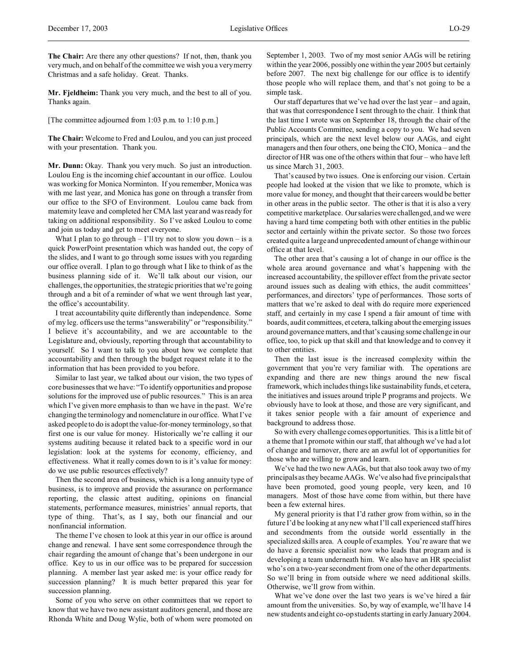**The Chair:** Are there any other questions? If not, then, thank you very much, and on behalf of the committee we wish you a very merry Christmas and a safe holiday. Great. Thanks.

**Mr. Fjeldheim:** Thank you very much, and the best to all of you. Thanks again.

[The committee adjourned from 1:03 p.m. to 1:10 p.m.]

**The Chair:** Welcome to Fred and Loulou, and you can just proceed with your presentation. Thank you.

**Mr. Dunn:** Okay. Thank you very much. So just an introduction. Loulou Eng is the incoming chief accountant in our office. Loulou was working for Monica Norminton. If you remember, Monica was with me last year, and Monica has gone on through a transfer from our office to the SFO of Environment. Loulou came back from maternity leave and completed her CMA last year and was ready for taking on additional responsibility. So I've asked Loulou to come and join us today and get to meet everyone.

What I plan to go through  $-1$ 'll try not to slow you down  $-$  is a quick PowerPoint presentation which was handed out, the copy of the slides, and I want to go through some issues with you regarding our office overall. I plan to go through what I like to think of as the business planning side of it. We'll talk about our vision, our challenges, the opportunities, the strategic priorities that we're going through and a bit of a reminder of what we went through last year, the office's accountability.

I treat accountability quite differently than independence. Some of my leg. officers use the terms "answerability" or "responsibility." I believe it's accountability, and we are accountable to the Legislature and, obviously, reporting through that accountability to yourself. So I want to talk to you about how we complete that accountability and then through the budget request relate it to the information that has been provided to you before.

Similar to last year, we talked about our vision, the two types of core businesses that we have: "To identify opportunities and propose solutions for the improved use of public resources." This is an area which I've given more emphasis to than we have in the past. We're changing the terminology and nomenclature in our office. What I've asked people to do is adopt the value-for-money terminology, so that first one is our value for money. Historically we're calling it our systems auditing because it related back to a specific word in our legislation: look at the systems for economy, efficiency, and effectiveness. What it really comes down to is it's value for money: do we use public resources effectively?

Then the second area of business, which is a long annuity type of business, is to improve and provide the assurance on performance reporting, the classic attest auditing, opinions on financial statements, performance measures, ministries' annual reports, that type of thing. That's, as I say, both our financial and our nonfinancial information.

The theme I've chosen to look at this year in our office is around change and renewal. I have sent some correspondence through the chair regarding the amount of change that's been undergone in our office. Key to us in our office was to be prepared for succession planning. A member last year asked me: is your office ready for succession planning? It is much better prepared this year for succession planning.

Some of you who serve on other committees that we report to know that we have two new assistant auditors general, and those are Rhonda White and Doug Wylie, both of whom were promoted on September 1, 2003. Two of my most senior AAGs will be retiring within the year 2006, possibly one within the year 2005 but certainly before 2007. The next big challenge for our office is to identify those people who will replace them, and that's not going to be a simple task.

Our staff departures that we've had over the last year – and again, that was that correspondence I sent through to the chair. I think that the last time I wrote was on September 18, through the chair of the Public Accounts Committee, sending a copy to you. We had seven principals, which are the next level below our AAGs, and eight managers and then four others, one being the CIO, Monica – and the director of HR was one of the others within that four – who have left us since March 31, 2003.

That's caused by two issues. One is enforcing our vision. Certain people had looked at the vision that we like to promote, which is more value for money, and thought that their careers would be better in other areas in the public sector. The other is that it is also a very competitive marketplace. Our salaries were challenged, and we were having a hard time competing both with other entities in the public sector and certainly within the private sector. So those two forces created quite a large and unprecedented amount of change within our office at that level.

The other area that's causing a lot of change in our office is the whole area around governance and what's happening with the increased accountability, the spillover effect from the private sector around issues such as dealing with ethics, the audit committees' performances, and directors' type of performances. Those sorts of matters that we're asked to deal with do require more experienced staff, and certainly in my case I spend a fair amount of time with boards, audit committees, et cetera, talking about the emerging issues around governance matters, and that's causing some challenge in our office, too, to pick up that skill and that knowledge and to convey it to other entities.

Then the last issue is the increased complexity within the government that you're very familiar with. The operations are expanding and there are new things around the new fiscal framework, which includes things like sustainability funds, et cetera, the initiatives and issues around triple P programs and projects. We obviously have to look at those, and those are very significant, and it takes senior people with a fair amount of experience and background to address those.

So with every challenge comes opportunities. This is a little bit of a theme that I promote within our staff, that although we've had a lot of change and turnover, there are an awful lot of opportunities for those who are willing to grow and learn.

We've had the two new AAGs, but that also took away two of my principals as they became AAGs. We've also had five principals that have been promoted, good young people, very keen, and 10 managers. Most of those have come from within, but there have been a few external hires.

My general priority is that I'd rather grow from within, so in the future I'd be looking at any new what I'll call experienced staff hires and secondments from the outside world essentially in the specialized skills area. A couple of examples. You're aware that we do have a forensic specialist now who leads that program and is developing a team underneath him. We also have an HR specialist who's on a two-year secondment from one of the other departments. So we'll bring in from outside where we need additional skills. Otherwise, we'll grow from within.

What we've done over the last two years is we've hired a fair amount from the universities. So, by way of example, we'll have 14 new students and eight co-op students starting in early January 2004.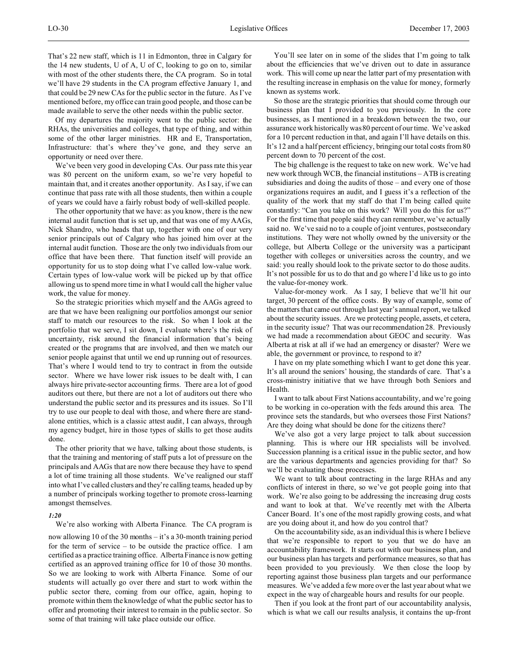That's 22 new staff, which is 11 in Edmonton, three in Calgary for the 14 new students, U of A, U of C, looking to go on to, similar with most of the other students there, the CA program. So in total we'll have 29 students in the CA program effective January 1, and that could be 29 new CAs for the public sector in the future. As I've mentioned before, my office can train good people, and those can be made available to serve the other needs within the public sector.

Of my departures the majority went to the public sector: the RHAs, the universities and colleges, that type of thing, and within some of the other larger ministries. HR and E, Transportation, Infrastructure: that's where they've gone, and they serve an opportunity or need over there.

We've been very good in developing CAs. Our pass rate this year was 80 percent on the uniform exam, so we're very hopeful to maintain that, and it creates another opportunity. As I say, if we can continue that pass rate with all those students, then within a couple of years we could have a fairly robust body of well-skilled people.

The other opportunity that we have: as you know, there is the new internal audit function that is set up, and that was one of my AAGs, Nick Shandro, who heads that up, together with one of our very senior principals out of Calgary who has joined him over at the internal audit function. Those are the only two individuals from our office that have been there. That function itself will provide an opportunity for us to stop doing what I've called low-value work. Certain types of low-value work will be picked up by that office allowing us to spend more time in what I would call the higher value work, the value for money.

So the strategic priorities which myself and the AAGs agreed to are that we have been realigning our portfolios amongst our senior staff to match our resources to the risk. So when I look at the portfolio that we serve, I sit down, I evaluate where's the risk of uncertainty, risk around the financial information that's being created or the programs that are involved, and then we match our senior people against that until we end up running out of resources. That's where I would tend to try to contract in from the outside sector. Where we have lower risk issues to be dealt with, I can always hire private-sector accounting firms. There are a lot of good auditors out there, but there are not a lot of auditors out there who understand the public sector and its pressures and its issues. So I'll try to use our people to deal with those, and where there are standalone entities, which is a classic attest audit, I can always, through my agency budget, hire in those types of skills to get those audits done.

The other priority that we have, talking about those students, is that the training and mentoring of staff puts a lot of pressure on the principals and AAGs that are now there because they have to spend a lot of time training all those students. We've realigned our staff into what I've called clusters and they're calling teams, headed up by a number of principals working together to promote cross-learning amongst themselves.

# *1:20*

We're also working with Alberta Finance. The CA program is now allowing 10 of the 30 months – it's a 30-month training period for the term of service – to be outside the practice office. I am certified as a practice training office. Alberta Finance is now getting certified as an approved training office for 10 of those 30 months. So we are looking to work with Alberta Finance. Some of our students will actually go over there and start to work within the public sector there, coming from our office, again, hoping to promote within them the knowledge of what the public sector has to offer and promoting their interest to remain in the public sector. So some of that training will take place outside our office.

You'll see later on in some of the slides that I'm going to talk about the efficiencies that we've driven out to date in assurance work. This will come up near the latter part of my presentation with the resulting increase in emphasis on the value for money, formerly known as systems work.

So those are the strategic priorities that should come through our business plan that I provided to you previously. In the core businesses, as I mentioned in a breakdown between the two, our assurance work historically was 80 percent of our time. We've asked for a 10 percent reduction in that, and again I'll have details on this. It's 12 and a half percent efficiency, bringing our total costs from 80 percent down to 70 percent of the cost.

The big challenge is the request to take on new work. We've had new work through WCB, the financial institutions – ATB is creating subsidiaries and doing the audits of those – and every one of those organizations requires an audit, and I guess it's a reflection of the quality of the work that my staff do that I'm being called quite constantly: "Can you take on this work? Will you do this for us?" For the first time that people said they can remember, we've actually said no. We've said no to a couple of joint ventures, postsecondary institutions. They were not wholly owned by the university or the college, but Alberta College or the university was a participant together with colleges or universities across the country, and we said: you really should look to the private sector to do those audits. It's not possible for us to do that and go where I'd like us to go into the value-for-money work.

Value-for-money work. As I say, I believe that we'll hit our target, 30 percent of the office costs. By way of example, some of the matters that came out through last year's annual report, we talked about the security issues. Are we protecting people, assets, et cetera, in the security issue? That was our recommendation 28. Previously we had made a recommendation about GEOC and security. Was Alberta at risk at all if we had an emergency or disaster? Were we able, the government or province, to respond to it?

I have on my plate something which I want to get done this year. It's all around the seniors' housing, the standards of care. That's a cross-ministry initiative that we have through both Seniors and Health.

I want to talk about First Nations accountability, and we're going to be working in co-operation with the feds around this area. The province sets the standards, but who oversees those First Nations? Are they doing what should be done for the citizens there?

We've also got a very large project to talk about succession planning. This is where our HR specialists will be involved. Succession planning is a critical issue in the public sector, and how are the various departments and agencies providing for that? So we'll be evaluating those processes.

We want to talk about contracting in the large RHAs and any conflicts of interest in there, so we've got people going into that work. We're also going to be addressing the increasing drug costs and want to look at that. We've recently met with the Alberta Cancer Board. It's one of the most rapidly growing costs, and what are you doing about it, and how do you control that?

On the accountability side, as an individual this is where I believe that we're responsible to report to you that we do have an accountability framework. It starts out with our business plan, and our business plan has targets and performance measures, so that has been provided to you previously. We then close the loop by reporting against those business plan targets and our performance measures. We've added a few more over the last year about what we expect in the way of chargeable hours and results for our people.

Then if you look at the front part of our accountability analysis, which is what we call our results analysis, it contains the up-front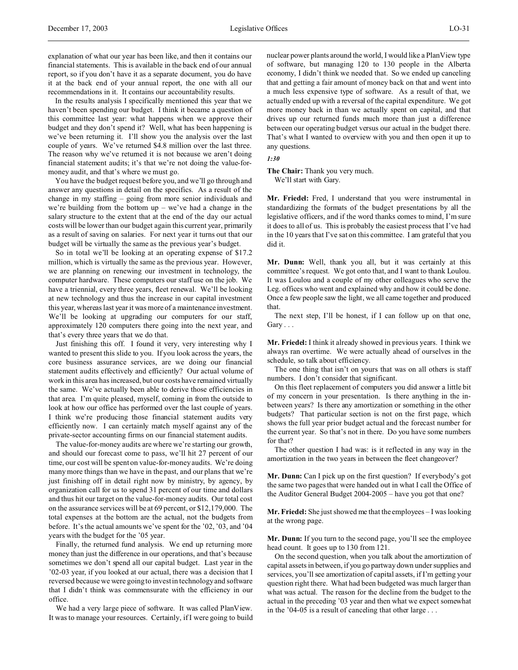explanation of what our year has been like, and then it contains our financial statements. This is available in the back end of our annual report, so if you don't have it as a separate document, you do have it at the back end of your annual report, the one with all our recommendations in it. It contains our accountability results.

In the results analysis I specifically mentioned this year that we haven't been spending our budget. I think it became a question of this committee last year: what happens when we approve their budget and they don't spend it? Well, what has been happening is we've been returning it. I'll show you the analysis over the last couple of years. We've returned \$4.8 million over the last three. The reason why we've returned it is not because we aren't doing financial statement audits; it's that we're not doing the value-formoney audit, and that's where we must go.

You have the budget request before you, and we'll go through and answer any questions in detail on the specifics. As a result of the change in my staffing – going from more senior individuals and we're building from the bottom  $up - we've$  had a change in the salary structure to the extent that at the end of the day our actual costs will be lower than our budget again this current year, primarily as a result of saving on salaries. For next year it turns out that our budget will be virtually the same as the previous year's budget.

So in total we'll be looking at an operating expense of \$17.2 million, which is virtually the same as the previous year. However, we are planning on renewing our investment in technology, the computer hardware. These computers our staff use on the job. We have a triennial, every three years, fleet renewal. We'll be looking at new technology and thus the increase in our capital investment this year, whereas last year it was more of a maintenance investment. We'll be looking at upgrading our computers for our staff, approximately 120 computers there going into the next year, and that's every three years that we do that.

Just finishing this off. I found it very, very interesting why I wanted to present this slide to you. If you look across the years, the core business assurance services, are we doing our financial statement audits effectively and efficiently? Our actual volume of work in this area has increased, but our costs have remained virtually the same. We've actually been able to derive those efficiencies in that area. I'm quite pleased, myself, coming in from the outside to look at how our office has performed over the last couple of years. I think we're producing those financial statement audits very efficiently now. I can certainly match myself against any of the private-sector accounting firms on our financial statement audits.

The value-for-money audits are where we're starting our growth, and should our forecast come to pass, we'll hit 27 percent of our time, our cost will be spent on value-for-money audits. We're doing many more things than we have in the past, and our plans that we're just finishing off in detail right now by ministry, by agency, by organization call for us to spend 31 percent of our time and dollars and thus hit our target on the value-for-money audits. Our total cost on the assurance services will be at 69 percent, or \$12,179,000. The total expenses at the bottom are the actual, not the budgets from before. It's the actual amounts we've spent for the '02, '03, and '04 years with the budget for the '05 year.

Finally, the returned fund analysis. We end up returning more money than just the difference in our operations, and that's because sometimes we don't spend all our capital budget. Last year in the '02-03 year, if you looked at our actual, there was a decision that I reversed because we were going to invest in technology and software that I didn't think was commensurate with the efficiency in our office.

We had a very large piece of software. It was called PlanView. It was to manage your resources. Certainly, if I were going to build nuclear power plants around the world, I would like a PlanView type of software, but managing 120 to 130 people in the Alberta economy, I didn't think we needed that. So we ended up canceling that and getting a fair amount of money back on that and went into a much less expensive type of software. As a result of that, we actually ended up with a reversal of the capital expenditure. We got more money back in than we actually spent on capital, and that drives up our returned funds much more than just a difference between our operating budget versus our actual in the budget there. That's what I wanted to overview with you and then open it up to any questions.

*1:30*

**The Chair:** Thank you very much. We'll start with Gary.

**Mr. Friedel:** Fred, I understand that you were instrumental in standardizing the formats of the budget presentations by all the legislative officers, and if the word thanks comes to mind, I'm sure it does to all of us. This is probably the easiest process that I've had in the 10 years that I've sat on this committee. I am grateful that you did it.

**Mr. Dunn:** Well, thank you all, but it was certainly at this committee's request. We got onto that, and I want to thank Loulou. It was Loulou and a couple of my other colleagues who serve the Leg. offices who went and explained why and how it could be done. Once a few people saw the light, we all came together and produced that.

The next step, I'll be honest, if I can follow up on that one, Gary . . .

**Mr. Friedel:** I think it already showed in previous years. I think we always ran overtime. We were actually ahead of ourselves in the schedule, so talk about efficiency.

The one thing that isn't on yours that was on all others is staff numbers. I don't consider that significant.

On this fleet replacement of computers you did answer a little bit of my concern in your presentation. Is there anything in the inbetween years? Is there any amortization or something in the other budgets? That particular section is not on the first page, which shows the full year prior budget actual and the forecast number for the current year. So that's not in there. Do you have some numbers for that?

The other question I had was: is it reflected in any way in the amortization in the two years in between the fleet changeover?

**Mr. Dunn:** Can I pick up on the first question? If everybody's got the same two pages that were handed out in what I call the Office of the Auditor General Budget 2004-2005 – have you got that one?

**Mr. Friedel:** She just showed me that the employees – I was looking at the wrong page.

**Mr. Dunn:** If you turn to the second page, you'll see the employee head count. It goes up to 130 from 121.

On the second question, when you talk about the amortization of capital assets in between, if you go partway down under supplies and services, you'll see amortization of capital assets, if I'm getting your question right there. What had been budgeted was much larger than what was actual. The reason for the decline from the budget to the actual in the preceding '03 year and then what we expect somewhat in the '04-05 is a result of canceling that other large . . .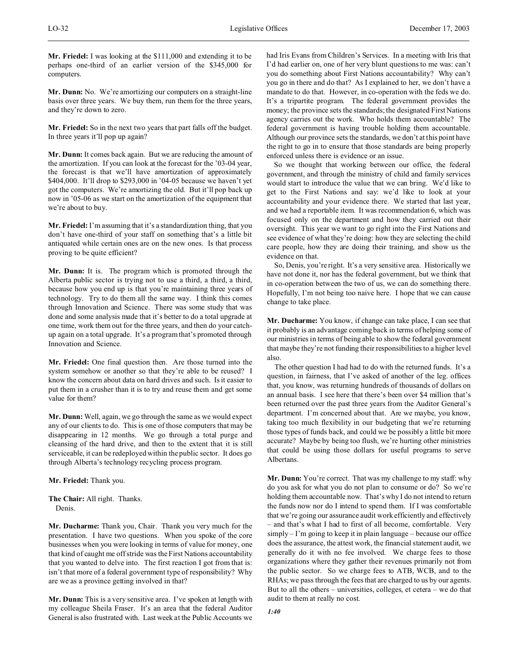**Mr. Friedel:** I was looking at the \$111,000 and extending it to be perhaps one-third of an earlier version of the \$345,000 for computers.

**Mr. Dunn:** No. We're amortizing our computers on a straight-line basis over three years. We buy them, run them for the three years, and they're down to zero.

**Mr. Friedel:** So in the next two years that part falls off the budget. In three years it'll pop up again?

**Mr. Dunn:** It comes back again. But we are reducing the amount of the amortization. If you can look at the forecast for the '03-04 year, the forecast is that we'll have amortization of approximately \$404,000. It'll drop to \$293,000 in '04-05 because we haven't yet got the computers. We're amortizing the old. But it'll pop back up now in '05-06 as we start on the amortization of the equipment that we're about to buy.

**Mr. Friedel:** I'm assuming that it's a standardization thing, that you don't have one-third of your staff on something that's a little bit antiquated while certain ones are on the new ones. Is that process proving to be quite efficient?

**Mr. Dunn:** It is. The program which is promoted through the Alberta public sector is trying not to use a third, a third, a third, because how you end up is that you're maintaining three years of technology. Try to do them all the same way. I think this comes through Innovation and Science. There was some study that was done and some analysis made that it's better to do a total upgrade at one time, work them out for the three years, and then do your catchup again on a total upgrade. It's a program that's promoted through Innovation and Science.

**Mr. Friedel:** One final question then. Are those turned into the system somehow or another so that they're able to be reused? I know the concern about data on hard drives and such. Is it easier to put them in a crusher than it is to try and reuse them and get some value for them?

**Mr. Dunn:** Well, again, we go through the same as we would expect any of our clients to do. This is one of those computers that may be disappearing in 12 months. We go through a total purge and cleansing of the hard drive, and then to the extent that it is still serviceable, it can be redeployed within the public sector. It does go through Alberta's technology recycling process program.

**Mr. Friedel:** Thank you.

**The Chair:** All right. Thanks. Denis.

**Mr. Ducharme:** Thank you, Chair. Thank you very much for the presentation. I have two questions. When you spoke of the core businesses when you were looking in terms of value for money, one that kind of caught me off stride was the First Nations accountability that you wanted to delve into. The first reaction I got from that is: isn't that more of a federal government type of responsibility? Why are we as a province getting involved in that?

**Mr. Dunn:** This is a very sensitive area. I've spoken at length with my colleague Sheila Fraser. It's an area that the federal Auditor General is also frustrated with. Last week at the Public Accounts we had Iris Evans from Children's Services. In a meeting with Iris that I'd had earlier on, one of her very blunt questions to me was: can't you do something about First Nations accountability? Why can't you go in there and do that? As I explained to her, we don't have a mandate to do that. However, in co-operation with the feds we do. It's a tripartite program. The federal government provides the money; the province sets the standards; the designated First Nations agency carries out the work. Who holds them accountable? The federal government is having trouble holding them accountable. Although our province sets the standards, we don't at this point have the right to go in to ensure that those standards are being properly enforced unless there is evidence or an issue.

So we thought that working between our office, the federal government, and through the ministry of child and family services would start to introduce the value that we can bring. We'd like to get to the First Nations and say: we'd like to look at your accountability and your evidence there. We started that last year, and we had a reportable item. It was recommendation 6, which was focused only on the department and how they carried out their oversight. This year we want to go right into the First Nations and see evidence of what they're doing: how they are selecting the child care people, how they are doing their training, and show us the evidence on that.

So, Denis, you're right. It's a very sensitive area. Historically we have not done it, nor has the federal government, but we think that in co-operation between the two of us, we can do something there. Hopefully, I'm not being too naive here. I hope that we can cause change to take place.

**Mr. Ducharme:** You know, if change can take place, I can see that it probably is an advantage coming back in terms of helping some of our ministries in terms of being able to show the federal government that maybe they're not funding their responsibilities to a higher level also.

The other question I had had to do with the returned funds. It's a question, in fairness, that I've asked of another of the leg. offices that, you know, was returning hundreds of thousands of dollars on an annual basis. I see here that there's been over \$4 million that's been returned over the past three years from the Auditor General's department. I'm concerned about that. Are we maybe, you know, taking too much flexibility in our budgeting that we're returning those types of funds back, and could we be possibly a little bit more accurate? Maybe by being too flush, we're hurting other ministries that could be using those dollars for useful programs to serve Albertans.

**Mr. Dunn:** You're correct. That was my challenge to my staff: why do you ask for what you do not plan to consume or do? So we're holding them accountable now. That's why I do not intend to return the funds now nor do I intend to spend them. If I was comfortable that we're going our assurance audit work efficiently and effectively – and that's what I had to first of all become, comfortable. Very simply – I'm going to keep it in plain language – because our office does the assurance, the attest work, the financial statement audit, we generally do it with no fee involved. We charge fees to those organizations where they gather their revenues primarily not from the public sector. So we charge fees to ATB, WCB, and to the RHAs; we pass through the fees that are charged to us by our agents. But to all the others – universities, colleges, et cetera – we do that audit to them at really no cost.

*1:40*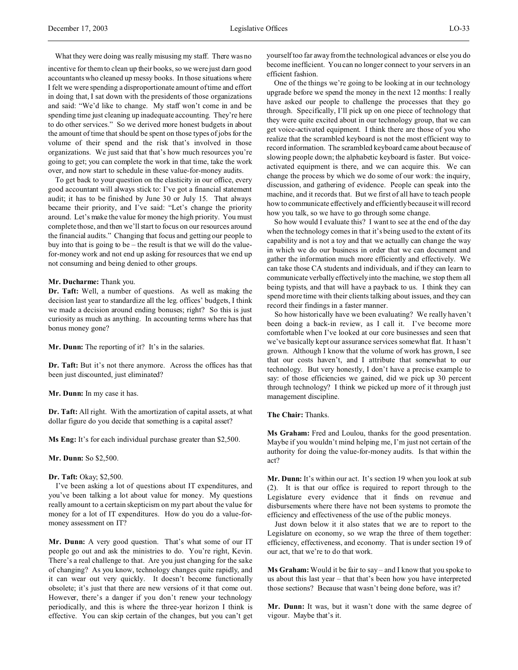What they were doing was really misusing my staff. There was no

incentive for them to clean up their books, so we were just darn good accountants who cleaned up messy books. In those situations where I felt we were spending a disproportionate amount of time and effort in doing that, I sat down with the presidents of those organizations and said: "We'd like to change. My staff won't come in and be spending time just cleaning up inadequate accounting. They're here to do other services." So we derived more honest budgets in about the amount of time that should be spent on those types of jobs for the volume of their spend and the risk that's involved in those organizations. We just said that that's how much resources you're going to get; you can complete the work in that time, take the work over, and now start to schedule in these value-for-money audits.

To get back to your question on the elasticity in our office, every good accountant will always stick to: I've got a financial statement audit; it has to be finished by June 30 or July 15. That always became their priority, and I've said: "Let's change the priority around. Let's make the value for money the high priority. You must complete those, and then we'll start to focus on our resources around the financial audits." Changing that focus and getting our people to buy into that is going to be – the result is that we will do the valuefor-money work and not end up asking for resources that we end up not consuming and being denied to other groups.

#### **Mr. Ducharme:** Thank you.

**Dr. Taft:** Well, a number of questions. As well as making the decision last year to standardize all the leg. offices' budgets, I think we made a decision around ending bonuses; right? So this is just curiosity as much as anything. In accounting terms where has that bonus money gone?

**Mr. Dunn:** The reporting of it? It's in the salaries.

**Dr. Taft:** But it's not there anymore. Across the offices has that been just discounted, just eliminated?

**Mr. Dunn:** In my case it has.

**Dr. Taft:** All right. With the amortization of capital assets, at what dollar figure do you decide that something is a capital asset?

**Ms Eng:** It's for each individual purchase greater than \$2,500.

**Mr. Dunn:** So \$2,500.

#### **Dr. Taft:** Okay; \$2,500.

I've been asking a lot of questions about IT expenditures, and you've been talking a lot about value for money. My questions really amount to a certain skepticism on my part about the value for money for a lot of IT expenditures. How do you do a value-formoney assessment on IT?

**Mr. Dunn:** A very good question. That's what some of our IT people go out and ask the ministries to do. You're right, Kevin. There's a real challenge to that. Are you just changing for the sake of changing? As you know, technology changes quite rapidly, and it can wear out very quickly. It doesn't become functionally obsolete; it's just that there are new versions of it that come out. However, there's a danger if you don't renew your technology periodically, and this is where the three-year horizon I think is effective. You can skip certain of the changes, but you can't get

yourself too far away from the technological advances or else you do become inefficient. You can no longer connect to your servers in an efficient fashion.

One of the things we're going to be looking at in our technology upgrade before we spend the money in the next 12 months: I really have asked our people to challenge the processes that they go through. Specifically, I'll pick up on one piece of technology that they were quite excited about in our technology group, that we can get voice-activated equipment. I think there are those of you who realize that the scrambled keyboard is not the most efficient way to record information. The scrambled keyboard came about because of slowing people down; the alphabetic keyboard is faster. But voiceactivated equipment is there, and we can acquire this. We can change the process by which we do some of our work: the inquiry, discussion, and gathering of evidence. People can speak into the machine, and it records that. But we first of all have to teach people how to communicate effectively and efficiently because it will record how you talk, so we have to go through some change.

So how would I evaluate this? I want to see at the end of the day when the technology comes in that it's being used to the extent of its capability and is not a toy and that we actually can change the way in which we do our business in order that we can document and gather the information much more efficiently and effectively. We can take those CA students and individuals, and if they can learn to communicate verbally effectively into the machine, we stop them all being typists, and that will have a payback to us. I think they can spend more time with their clients talking about issues, and they can record their findings in a faster manner.

So how historically have we been evaluating? We really haven't been doing a back-in review, as I call it. I've become more comfortable when I've looked at our core businesses and seen that we've basically kept our assurance services somewhat flat. It hasn't grown. Although I know that the volume of work has grown, I see that our costs haven't, and I attribute that somewhat to our technology. But very honestly, I don't have a precise example to say: of those efficiencies we gained, did we pick up 30 percent through technology? I think we picked up more of it through just management discipline.

### **The Chair:** Thanks.

**Ms Graham:** Fred and Loulou, thanks for the good presentation. Maybe if you wouldn't mind helping me, I'm just not certain of the authority for doing the value-for-money audits. Is that within the act?

**Mr. Dunn:** It's within our act. It's section 19 when you look at sub (2). It is that our office is required to report through to the Legislature every evidence that it finds on revenue and disbursements where there have not been systems to promote the efficiency and effectiveness of the use of the public moneys.

Just down below it it also states that we are to report to the Legislature on economy, so we wrap the three of them together: efficiency, effectiveness, and economy. That is under section 19 of our act, that we're to do that work.

**Ms Graham:** Would it be fair to say – and I know that you spoke to us about this last year – that that's been how you have interpreted those sections? Because that wasn't being done before, was it?

**Mr. Dunn:** It was, but it wasn't done with the same degree of vigour. Maybe that's it.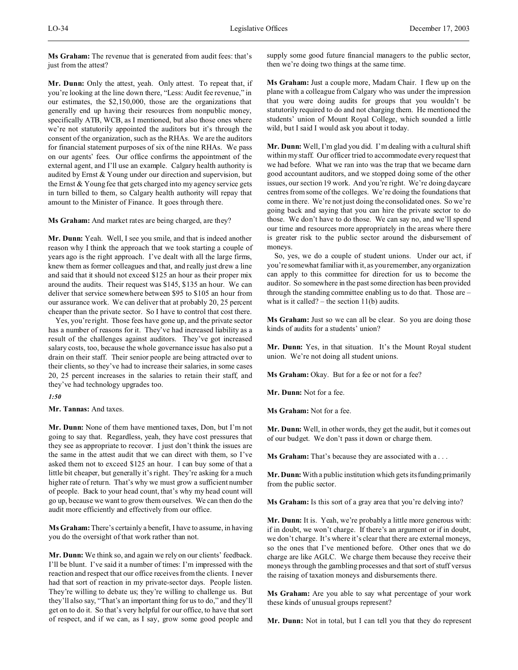**Ms Graham:** The revenue that is generated from audit fees: that's just from the attest?

**Mr. Dunn:** Only the attest, yeah. Only attest. To repeat that, if you're looking at the line down there, "Less: Audit fee revenue," in our estimates, the \$2,150,000, those are the organizations that generally end up having their resources from nonpublic money, specifically ATB, WCB, as I mentioned, but also those ones where we're not statutorily appointed the auditors but it's through the consent of the organization, such as the RHAs. We are the auditors for financial statement purposes of six of the nine RHAs. We pass on our agents' fees. Our office confirms the appointment of the external agent, and I'll use an example. Calgary health authority is audited by Ernst & Young under our direction and supervision, but the Ernst & Young fee that gets charged into my agency service gets in turn billed to them, so Calgary health authority will repay that amount to the Minister of Finance. It goes through there.

**Ms Graham:** And market rates are being charged, are they?

**Mr. Dunn:** Yeah. Well, I see you smile, and that is indeed another reason why I think the approach that we took starting a couple of years ago is the right approach. I've dealt with all the large firms, knew them as former colleagues and that, and really just drew a line and said that it should not exceed \$125 an hour as their proper mix around the audits. Their request was \$145, \$135 an hour. We can deliver that service somewhere between \$95 to \$105 an hour from our assurance work. We can deliver that at probably 20, 25 percent cheaper than the private sector. So I have to control that cost there.

Yes, you're right. Those fees have gone up, and the private sector has a number of reasons for it. They've had increased liability as a result of the challenges against auditors. They've got increased salary costs, too, because the whole governance issue has also put a drain on their staff. Their senior people are being attracted over to their clients, so they've had to increase their salaries, in some cases 20, 25 percent increases in the salaries to retain their staff, and they've had technology upgrades too.

*1:50*

**Mr. Tannas:** And taxes.

**Mr. Dunn:** None of them have mentioned taxes, Don, but I'm not going to say that. Regardless, yeah, they have cost pressures that they see as appropriate to recover. I just don't think the issues are the same in the attest audit that we can direct with them, so I've asked them not to exceed \$125 an hour. I can buy some of that a little bit cheaper, but generally it's right. They're asking for a much higher rate of return. That's why we must grow a sufficient number of people. Back to your head count, that's why my head count will go up, because we want to grow them ourselves. We can then do the audit more efficiently and effectively from our office.

**Ms Graham:** There's certainly a benefit, I have to assume, in having you do the oversight of that work rather than not.

**Mr. Dunn:** We think so, and again we rely on our clients' feedback. I'll be blunt. I've said it a number of times: I'm impressed with the reaction and respect that our office receives from the clients. I never had that sort of reaction in my private-sector days. People listen. They're willing to debate us; they're willing to challenge us. But they'll also say, "That's an important thing for us to do," and they'll get on to do it. So that's very helpful for our office, to have that sort of respect, and if we can, as I say, grow some good people and supply some good future financial managers to the public sector, then we're doing two things at the same time.

**Ms Graham:** Just a couple more, Madam Chair. I flew up on the plane with a colleague from Calgary who was under the impression that you were doing audits for groups that you wouldn't be statutorily required to do and not charging them. He mentioned the students' union of Mount Royal College, which sounded a little wild, but I said I would ask you about it today.

**Mr. Dunn:** Well, I'm glad you did. I'm dealing with a cultural shift within my staff. Our officer tried to accommodate every request that we had before. What we ran into was the trap that we became darn good accountant auditors, and we stopped doing some of the other issues, our section 19 work. And you're right. We're doing daycare centres from some of the colleges. We're doing the foundations that come in there. We're not just doing the consolidated ones. So we're going back and saying that you can hire the private sector to do those. We don't have to do those. We can say no, and we'll spend our time and resources more appropriately in the areas where there is greater risk to the public sector around the disbursement of moneys.

So, yes, we do a couple of student unions. Under our act, if you're somewhat familiar with it, as you remember, any organization can apply to this committee for direction for us to become the auditor. So somewhere in the past some direction has been provided through the standing committee enabling us to do that. Those are – what is it called? – the section  $11(b)$  audits.

**Ms Graham:** Just so we can all be clear. So you are doing those kinds of audits for a students' union?

**Mr. Dunn:** Yes, in that situation. It's the Mount Royal student union. We're not doing all student unions.

**Ms Graham:** Okay. But for a fee or not for a fee?

**Mr. Dunn:** Not for a fee.

**Ms Graham:** Not for a fee.

**Mr. Dunn:** Well, in other words, they get the audit, but it comes out of our budget. We don't pass it down or charge them.

**Ms Graham:** That's because they are associated with a . . .

**Mr. Dunn:** With a public institution which gets its funding primarily from the public sector.

**Ms Graham:** Is this sort of a gray area that you're delving into?

**Mr. Dunn:** It is. Yeah, we're probably a little more generous with: if in doubt, we won't charge. If there's an argument or if in doubt, we don't charge. It's where it's clear that there are external moneys, so the ones that I've mentioned before. Other ones that we do charge are like AGLC. We charge them because they receive their moneys through the gambling processes and that sort of stuff versus the raising of taxation moneys and disbursements there.

**Ms Graham:** Are you able to say what percentage of your work these kinds of unusual groups represent?

**Mr. Dunn:** Not in total, but I can tell you that they do represent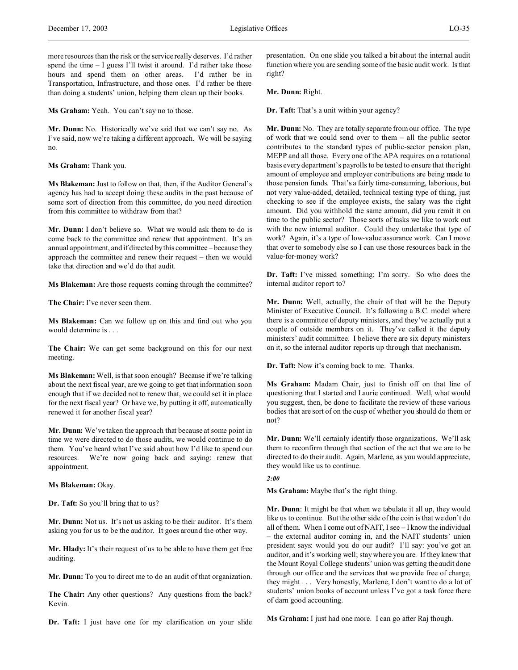more resources than the risk or the service really deserves. I'd rather spend the time – I guess I'll twist it around. I'd rather take those hours and spend them on other areas. I'd rather be in Transportation, Infrastructure, and those ones. I'd rather be there than doing a students' union, helping them clean up their books.

**Ms Graham:** Yeah. You can't say no to those.

**Mr. Dunn:** No. Historically we've said that we can't say no. As I've said, now we're taking a different approach. We will be saying no.

**Ms Graham:** Thank you.

**Ms Blakeman:**Just to follow on that, then, if the Auditor General's agency has had to accept doing these audits in the past because of some sort of direction from this committee, do you need direction from this committee to withdraw from that?

**Mr. Dunn:** I don't believe so. What we would ask them to do is come back to the committee and renew that appointment. It's an annual appointment, and if directed by this committee – because they approach the committee and renew their request – then we would take that direction and we'd do that audit.

**Ms Blakeman:** Are those requests coming through the committee?

**The Chair:** I've never seen them.

**Ms Blakeman:** Can we follow up on this and find out who you would determine is . . .

**The Chair:** We can get some background on this for our next meeting.

**Ms Blakeman:** Well, is that soon enough? Because if we're talking about the next fiscal year, are we going to get that information soon enough that if we decided not to renew that, we could set it in place for the next fiscal year? Or have we, by putting it off, automatically renewed it for another fiscal year?

**Mr. Dunn:** We've taken the approach that because at some point in time we were directed to do those audits, we would continue to do them. You've heard what I've said about how I'd like to spend our resources. We're now going back and saying: renew that appointment.

**Ms Blakeman:** Okay.

**Dr. Taft:** So you'll bring that to us?

**Mr. Dunn:** Not us. It's not us asking to be their auditor. It's them asking you for us to be the auditor. It goes around the other way.

**Mr. Hlady:** It's their request of us to be able to have them get free auditing.

**Mr. Dunn:** To you to direct me to do an audit of that organization.

**The Chair:** Any other questions? Any questions from the back? Kevin.

**Dr. Taft:** I just have one for my clarification on your slide

presentation. On one slide you talked a bit about the internal audit function where you are sending some of the basic audit work. Is that right?

**Mr. Dunn:** Right.

**Dr. Taft:** That's a unit within your agency?

**Mr. Dunn:** No. They are totally separate from our office. The type of work that we could send over to them – all the public sector contributes to the standard types of public-sector pension plan, MEPP and all those. Every one of the APA requires on a rotational basis every department's payrolls to be tested to ensure that the right amount of employee and employer contributions are being made to those pension funds. That's a fairly time-consuming, laborious, but not very value-added, detailed, technical testing type of thing, just checking to see if the employee exists, the salary was the right amount. Did you withhold the same amount, did you remit it on time to the public sector? Those sorts of tasks we like to work out with the new internal auditor. Could they undertake that type of work? Again, it's a type of low-value assurance work. Can I move that over to somebody else so I can use those resources back in the value-for-money work?

**Dr. Taft:** I've missed something; I'm sorry. So who does the internal auditor report to?

**Mr. Dunn:** Well, actually, the chair of that will be the Deputy Minister of Executive Council. It's following a B.C. model where there is a committee of deputy ministers, and they've actually put a couple of outside members on it. They've called it the deputy ministers' audit committee. I believe there are six deputy ministers on it, so the internal auditor reports up through that mechanism.

**Dr. Taft:** Now it's coming back to me. Thanks.

**Ms Graham:** Madam Chair, just to finish off on that line of questioning that I started and Laurie continued. Well, what would you suggest, then, be done to facilitate the review of these various bodies that are sort of on the cusp of whether you should do them or not?

**Mr. Dunn:** We'll certainly identify those organizations. We'll ask them to reconfirm through that section of the act that we are to be directed to do their audit. Again, Marlene, as you would appreciate, they would like us to continue.

*2:00*

**Ms Graham:** Maybe that's the right thing.

**Mr. Dunn**: It might be that when we tabulate it all up, they would like us to continue. But the other side of the coin is that we don't do all of them. When I come out of NAIT, I see – I know the individual – the external auditor coming in, and the NAIT students' union president says: would you do our audit? I'll say: you've got an auditor, and it's working well; stay where you are. If they knew that the Mount Royal College students' union was getting the audit done through our office and the services that we provide free of charge, they might . . . Very honestly, Marlene, I don't want to do a lot of students' union books of account unless I've got a task force there of darn good accounting.

**Ms Graham:** I just had one more. I can go after Raj though.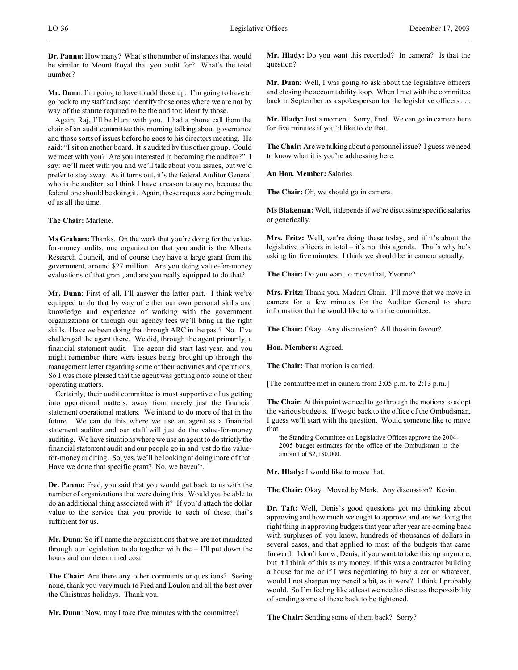**Dr. Pannu:** How many? What's the number of instances that would be similar to Mount Royal that you audit for? What's the total number?

**Mr. Dunn**: I'm going to have to add those up. I'm going to have to go back to my staff and say: identify those ones where we are not by way of the statute required to be the auditor; identify those.

Again, Raj, I'll be blunt with you. I had a phone call from the chair of an audit committee this morning talking about governance and those sorts of issues before he goes to his directors meeting. He said: "I sit on another board. It's audited by this other group. Could we meet with you? Are you interested in becoming the auditor?" I say: we'll meet with you and we'll talk about your issues, but we'd prefer to stay away. As it turns out, it's the federal Auditor General who is the auditor, so I think I have a reason to say no, because the federal one should be doing it. Again, these requests are being made of us all the time.

#### **The Chair:** Marlene.

**Ms Graham:** Thanks. On the work that you're doing for the valuefor-money audits, one organization that you audit is the Alberta Research Council, and of course they have a large grant from the government, around \$27 million. Are you doing value-for-money evaluations of that grant, and are you really equipped to do that?

**Mr. Dunn**: First of all, I'll answer the latter part. I think we're equipped to do that by way of either our own personal skills and knowledge and experience of working with the government organizations or through our agency fees we'll bring in the right skills. Have we been doing that through ARC in the past? No. I've challenged the agent there. We did, through the agent primarily, a financial statement audit. The agent did start last year, and you might remember there were issues being brought up through the management letter regarding some of their activities and operations. So I was more pleased that the agent was getting onto some of their operating matters.

Certainly, their audit committee is most supportive of us getting into operational matters, away from merely just the financial statement operational matters. We intend to do more of that in the future. We can do this where we use an agent as a financial statement auditor and our staff will just do the value-for-money auditing. We have situations where we use an agent to do strictly the financial statement audit and our people go in and just do the valuefor-money auditing. So, yes, we'll be looking at doing more of that. Have we done that specific grant? No, we haven't.

**Dr. Pannu:** Fred, you said that you would get back to us with the number of organizations that were doing this. Would you be able to do an additional thing associated with it? If you'd attach the dollar value to the service that you provide to each of these, that's sufficient for us.

**Mr. Dunn**: So if I name the organizations that we are not mandated through our legislation to do together with the – I'll put down the hours and our determined cost.

**The Chair:** Are there any other comments or questions? Seeing none, thank you very much to Fred and Loulou and all the best over the Christmas holidays. Thank you.

**Mr. Dunn**: Now, may I take five minutes with the committee?

**Mr. Hlady:** Do you want this recorded? In camera? Is that the question?

**Mr. Dunn**: Well, I was going to ask about the legislative officers and closing the accountability loop. When I met with the committee back in September as a spokesperson for the legislative officers . . .

**Mr. Hlady:** Just a moment. Sorry, Fred. We can go in camera here for five minutes if you'd like to do that.

**The Chair:** Are we talking about a personnel issue? I guess we need to know what it is you're addressing here.

**An Hon. Member:** Salaries.

**The Chair:** Oh, we should go in camera.

**Ms Blakeman:** Well, it depends if we're discussing specific salaries or generically.

**Mrs. Fritz:** Well, we're doing these today, and if it's about the legislative officers in total – it's not this agenda. That's why he's asking for five minutes. I think we should be in camera actually.

**The Chair:** Do you want to move that, Yvonne?

**Mrs. Fritz:** Thank you, Madam Chair. I'll move that we move in camera for a few minutes for the Auditor General to share information that he would like to with the committee.

The Chair: Okay. Any discussion? All those in favour?

**Hon. Members:** Agreed.

**The Chair:** That motion is carried.

[The committee met in camera from 2:05 p.m. to 2:13 p.m.]

**The Chair:** At this point we need to go through the motions to adopt the various budgets. If we go back to the office of the Ombudsman, I guess we'll start with the question. Would someone like to move that

the Standing Committee on Legislative Offices approve the 2004- 2005 budget estimates for the office of the Ombudsman in the amount of \$2,130,000.

**Mr. Hlady:** I would like to move that.

The Chair: Okay. Moved by Mark. Any discussion? Kevin.

**Dr. Taft:** Well, Denis's good questions got me thinking about approving and how much we ought to approve and are we doing the right thing in approving budgets that year after year are coming back with surpluses of, you know, hundreds of thousands of dollars in several cases, and that applied to most of the budgets that came forward. I don't know, Denis, if you want to take this up anymore, but if I think of this as my money, if this was a contractor building a house for me or if I was negotiating to buy a car or whatever, would I not sharpen my pencil a bit, as it were? I think I probably would. So I'm feeling like at least we need to discuss the possibility of sending some of these back to be tightened.

**The Chair:** Sending some of them back? Sorry?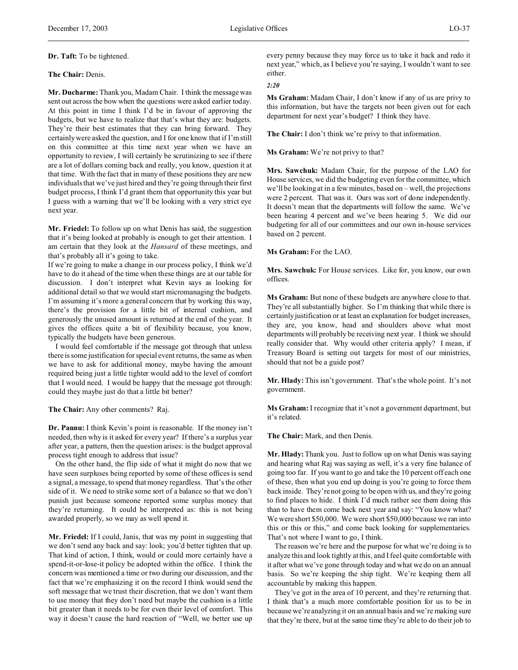#### **Dr. Taft:** To be tightened.

#### **The Chair:** Denis.

**Mr. Ducharme:** Thank you, Madam Chair. I think the message was sent out across the bow when the questions were asked earlier today. At this point in time I think I'd be in favour of approving the budgets, but we have to realize that that's what they are: budgets. They're their best estimates that they can bring forward. They certainly were asked the question, and I for one know that if I'm still on this committee at this time next year when we have an opportunity to review, I will certainly be scrutinizing to see if there are a lot of dollars coming back and really, you know, question it at that time. With the fact that in many of these positions they are new individuals that we've just hired and they're going through their first budget process, I think I'd grant them that opportunity this year but I guess with a warning that we'll be looking with a very strict eye next year.

**Mr. Friedel:** To follow up on what Denis has said, the suggestion that it's being looked at probably is enough to get their attention. I am certain that they look at the *Hansard* of these meetings, and that's probably all it's going to take.

If we're going to make a change in our process policy, I think we'd have to do it ahead of the time when these things are at our table for discussion. I don't interpret what Kevin says as looking for additional detail so that we would start micromanaging the budgets. I'm assuming it's more a general concern that by working this way, there's the provision for a little bit of internal cushion, and generously the unused amount is returned at the end of the year. It gives the offices quite a bit of flexibility because, you know, typically the budgets have been generous.

I would feel comfortable if the message got through that unless there is some justification for special event returns, the same as when we have to ask for additional money, maybe having the amount required being just a little tighter would add to the level of comfort that I would need. I would be happy that the message got through: could they maybe just do that a little bit better?

**The Chair:** Any other comments? Raj.

**Dr. Pannu:** I think Kevin's point is reasonable. If the money isn't needed, then why is it asked for every year? If there's a surplus year after year, a pattern, then the question arises: is the budget approval process tight enough to address that issue?

On the other hand, the flip side of what it might do now that we have seen surpluses being reported by some of these offices is send a signal, a message, to spend that money regardless. That's the other side of it. We need to strike some sort of a balance so that we don't punish just because someone reported some surplus money that they're returning. It could be interpreted as: this is not being awarded properly, so we may as well spend it.

**Mr. Friedel:** If I could, Janis, that was my point in suggesting that we don't send any back and say: look; you'd better tighten that up. That kind of action, I think, would or could more certainly have a spend-it-or-lose-it policy be adopted within the office. I think the concern was mentioned a time or two during our discussion, and the fact that we're emphasizing it on the record I think would send the soft message that we trust their discretion, that we don't want them to use money that they don't need but maybe the cushion is a little bit greater than it needs to be for even their level of comfort. This way it doesn't cause the hard reaction of "Well, we better use up

every penny because they may force us to take it back and redo it next year," which, as I believe you're saying, I wouldn't want to see either.

#### *2:20*

**Ms Graham:** Madam Chair, I don't know if any of us are privy to this information, but have the targets not been given out for each department for next year's budget? I think they have.

**The Chair:** I don't think we're privy to that information.

**Ms Graham:** We're not privy to that?

**Mrs. Sawchuk:** Madam Chair, for the purpose of the LAO for House services, we did the budgeting even for the committee, which we'll be looking at in a few minutes, based on – well, the projections were 2 percent. That was it. Ours was sort of done independently. It doesn't mean that the departments will follow the same. We've been hearing 4 percent and we've been hearing 5. We did our budgeting for all of our committees and our own in-house services based on 2 percent.

**Ms Graham:** For the LAO.

**Mrs. Sawchuk:** For House services. Like for, you know, our own offices.

**Ms Graham:** But none of these budgets are anywhere close to that. They're all substantially higher. So I'm thinking that while there is certainly justification or at least an explanation for budget increases, they are, you know, head and shoulders above what most departments will probably be receiving next year. I think we should really consider that. Why would other criteria apply? I mean, if Treasury Board is setting out targets for most of our ministries, should that not be a guide post?

**Mr. Hlady:** This isn't government. That's the whole point. It's not government.

**Ms Graham:** I recognize that it's not a government department, but it's related.

**The Chair:** Mark, and then Denis.

**Mr. Hlady:** Thank you. Just to follow up on what Denis was saying and hearing what Raj was saying as well, it's a very fine balance of going too far. If you want to go and take the 10 percent off each one of these, then what you end up doing is you're going to force them back inside. They're not going to be open with us, and they're going to find places to hide. I think I'd much rather see them doing this than to have them come back next year and say: "You know what? We were short \$50,000. We were short \$50,000 because we ran into this or this or this," and come back looking for supplementaries. That's not where I want to go, I think.

The reason we're here and the purpose for what we're doing is to analyze this and look tightly at this, and I feel quite comfortable with it after what we've gone through today and what we do on an annual basis. So we're keeping the ship tight. We're keeping them all accountable by making this happen.

They've got in the area of 10 percent, and they're returning that. I think that's a much more comfortable position for us to be in because we're analyzing it on an annual basis and we're making sure that they're there, but at the same time they're able to do their job to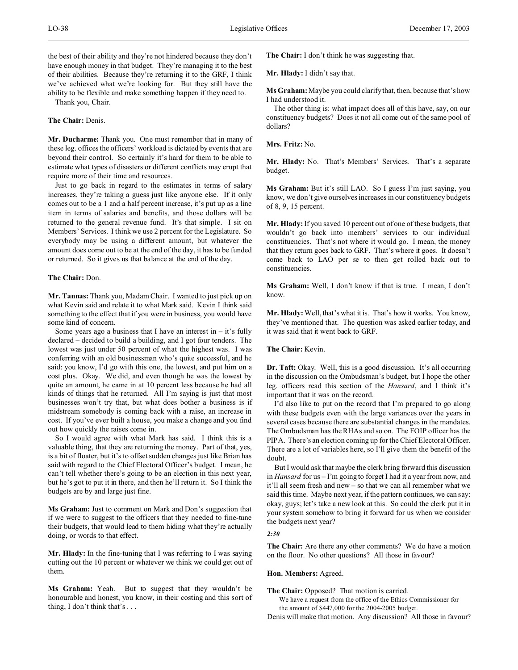the best of their ability and they're not hindered because they don't have enough money in that budget. They're managing it to the best of their abilities. Because they're returning it to the GRF, I think we've achieved what we're looking for. But they still have the ability to be flexible and make something happen if they need to.

Thank you, Chair.

## **The Chair:** Denis.

**Mr. Ducharme:** Thank you. One must remember that in many of these leg. offices the officers' workload is dictated by events that are beyond their control. So certainly it's hard for them to be able to estimate what types of disasters or different conflicts may erupt that require more of their time and resources.

Just to go back in regard to the estimates in terms of salary increases, they're taking a guess just like anyone else. If it only comes out to be a 1 and a half percent increase, it's put up as a line item in terms of salaries and benefits, and those dollars will be returned to the general revenue fund. It's that simple. I sit on Members' Services. I think we use 2 percent for the Legislature. So everybody may be using a different amount, but whatever the amount does come out to be at the end of the day, it has to be funded or returned. So it gives us that balance at the end of the day.

#### **The Chair:** Don.

**Mr. Tannas:** Thank you, Madam Chair. I wanted to just pick up on what Kevin said and relate it to what Mark said. Kevin I think said something to the effect that if you were in business, you would have some kind of concern.

Some years ago a business that I have an interest in  $-$  it's fully declared – decided to build a building, and I got four tenders. The lowest was just under 50 percent of what the highest was. I was conferring with an old businessman who's quite successful, and he said: you know, I'd go with this one, the lowest, and put him on a cost plus. Okay. We did, and even though he was the lowest by quite an amount, he came in at 10 percent less because he had all kinds of things that he returned. All I'm saying is just that most businesses won't try that, but what does bother a business is if midstream somebody is coming back with a raise, an increase in cost. If you've ever built a house, you make a change and you find out how quickly the raises come in.

So I would agree with what Mark has said. I think this is a valuable thing, that they are returning the money. Part of that, yes, is a bit of floater, but it's to offset sudden changes just like Brian has said with regard to the Chief Electoral Officer's budget. I mean, he can't tell whether there's going to be an election in this next year, but he's got to put it in there, and then he'll return it. So I think the budgets are by and large just fine.

**Ms Graham:** Just to comment on Mark and Don's suggestion that if we were to suggest to the officers that they needed to fine-tune their budgets, that would lead to them hiding what they're actually doing, or words to that effect.

**Mr. Hlady:** In the fine-tuning that I was referring to I was saying cutting out the 10 percent or whatever we think we could get out of them.

**Ms Graham:** Yeah. But to suggest that they wouldn't be honourable and honest, you know, in their costing and this sort of thing, I don't think that's . . .

**The Chair:** I don't think he was suggesting that.

**Mr. Hlady:** I didn't say that.

**Ms Graham:** Maybe you could clarify that, then, because that's how I had understood it.

The other thing is: what impact does all of this have, say, on our constituency budgets? Does it not all come out of the same pool of dollars?

## **Mrs. Fritz:** No.

**Mr. Hlady:** No. That's Members' Services. That's a separate budget.

**Ms Graham:** But it's still LAO. So I guess I'm just saying, you know, we don't give ourselves increases in our constituency budgets of 8, 9, 15 percent.

**Mr. Hlady:** If you saved 10 percent out of one of these budgets, that wouldn't go back into members' services to our individual constituencies. That's not where it would go. I mean, the money that they return goes back to GRF. That's where it goes. It doesn't come back to LAO per se to then get rolled back out to constituencies.

**Ms Graham:** Well, I don't know if that is true. I mean, I don't know.

**Mr. Hlady:** Well, that's what it is. That's how it works. You know, they've mentioned that. The question was asked earlier today, and it was said that it went back to GRF.

**The Chair:** Kevin.

**Dr. Taft:** Okay. Well, this is a good discussion. It's all occurring in the discussion on the Ombudsman's budget, but I hope the other leg. officers read this section of the *Hansard*, and I think it's important that it was on the record.

I'd also like to put on the record that I'm prepared to go along with these budgets even with the large variances over the years in several cases because there are substantial changes in the mandates. The Ombudsman has the RHAs and so on. The FOIP officer has the PIPA. There's an election coming up for the Chief Electoral Officer. There are a lot of variables here, so I'll give them the benefit of the doubt.

But I would ask that maybe the clerk bring forward this discussion in *Hansard* for us – I'm going to forget I had it a year from now, and it'll all seem fresh and new – so that we can all remember what we said this time. Maybe next year, if the pattern continues, we can say: okay, guys; let's take a new look at this. So could the clerk put it in your system somehow to bring it forward for us when we consider the budgets next year?

#### *2:30*

**The Chair:** Are there any other comments? We do have a motion on the floor. No other questions? All those in favour?

### **Hon. Members:** Agreed.

**The Chair:** Opposed? That motion is carried.

We have a request from the office of the Ethics Commissioner for the amount of \$447,000 for the 2004-2005 budget.

Denis will make that motion. Any discussion? All those in favour?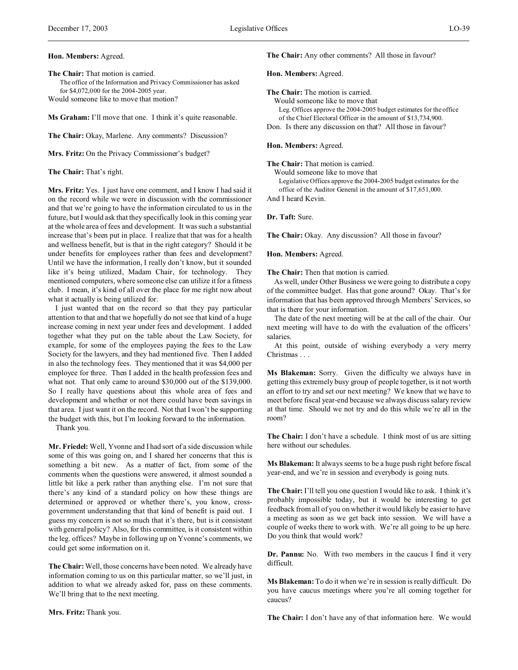## **Hon. Members:** Agreed.

**The Chair:** That motion is carried. The office of the Information and Privacy Commissioner has asked for \$4,072,000 for the 2004-2005 year. Would someone like to move that motion?

**Ms Graham:** I'll move that one. I think it's quite reasonable.

**The Chair:** Okay, Marlene. Any comments? Discussion?

**Mrs. Fritz:** On the Privacy Commissioner's budget?

**The Chair:** That's right.

**Mrs. Fritz:** Yes. I just have one comment, and I know I had said it on the record while we were in discussion with the commissioner and that we're going to have the information circulated to us in the future, but I would ask that they specifically look in this coming year at the whole area of fees and development. It was such a substantial increase that's been put in place. I realize that that was for a health and wellness benefit, but is that in the right category? Should it be under benefits for employees rather than fees and development? Until we have the information, I really don't know, but it sounded like it's being utilized, Madam Chair, for technology. They mentioned computers, where someone else can utilize it for a fitness club. I mean, it's kind of all over the place for me right now about what it actually is being utilized for.

I just wanted that on the record so that they pay particular attention to that and that we hopefully do not see that kind of a huge increase coming in next year under fees and development. I added together what they put on the table about the Law Society, for example, for some of the employees paying the fees to the Law Society for the lawyers, and they had mentioned five. Then I added in also the technology fees. They mentioned that it was \$4,000 per employee for three. Then I added in the health profession fees and what not. That only came to around \$30,000 out of the \$139,000. So I really have questions about this whole area of fees and development and whether or not there could have been savings in that area. I just want it on the record. Not that I won't be supporting the budget with this, but I'm looking forward to the information.

Thank you.

**Mr. Friedel:** Well, Yvonne and I had sort of a side discussion while some of this was going on, and I shared her concerns that this is something a bit new. As a matter of fact, from some of the comments when the questions were answered, it almost sounded a little bit like a perk rather than anything else. I'm not sure that there's any kind of a standard policy on how these things are determined or approved or whether there's, you know, crossgovernment understanding that that kind of benefit is paid out. I guess my concern is not so much that it's there, but is it consistent with general policy? Also, for this committee, is it consistent within the leg. offices? Maybe in following up on Yvonne's comments, we could get some information on it.

**The Chair:**Well, those concerns have been noted. We already have information coming to us on this particular matter, so we'll just, in addition to what we already asked for, pass on these comments. We'll bring that to the next meeting.

**The Chair:** Any other comments? All those in favour?

## **Hon. Members:** Agreed.

**The Chair:** The motion is carried. Would someone like to move that Leg. Offices approve the 2004-2005 budget estimates for the office of the Chief Electoral Officer in the amount of \$13,734,900. Don. Is there any discussion on that? All those in favour?

## **Hon. Members:** Agreed.

**The Chair:** That motion is carried. Would someone like to move that

Legislative Offices approve the 2004-2005 budget estimates for the office of the Auditor General in the amount of \$17,651,000.

And I heard Kevin.

## **Dr. Taft:** Sure.

The Chair: Okay. Any discussion? All those in favour?

#### **Hon. Members:** Agreed.

**The Chair:** Then that motion is carried.

As well, under Other Business we were going to distribute a copy of the committee budget. Has that gone around? Okay. That's for information that has been approved through Members' Services, so that is there for your information.

The date of the next meeting will be at the call of the chair. Our next meeting will have to do with the evaluation of the officers' salaries.

At this point, outside of wishing everybody a very merry Christmas . . .

**Ms Blakeman:** Sorry. Given the difficulty we always have in getting this extremely busy group of people together, is it not worth an effort to try and set our next meeting? We know that we have to meet before fiscal year-end because we always discuss salary review at that time. Should we not try and do this while we're all in the room?

**The Chair:** I don't have a schedule. I think most of us are sitting here without our schedules.

**Ms Blakeman:** It always seems to be a huge push right before fiscal year-end, and we're in session and everybody is going nuts.

**The Chair:** I'll tell you one question I would like to ask. I think it's probably impossible today, but it would be interesting to get feedback from all of you on whether it would likely be easier to have a meeting as soon as we get back into session. We will have a couple of weeks there to work with. We're all going to be up here. Do you think that would work?

**Dr. Pannu:** No. With two members in the caucus I find it very difficult.

**Ms Blakeman:** To do it when we're in session is really difficult. Do you have caucus meetings where you're all coming together for caucus?

**Mrs. Fritz:** Thank you.

**The Chair:** I don't have any of that information here. We would